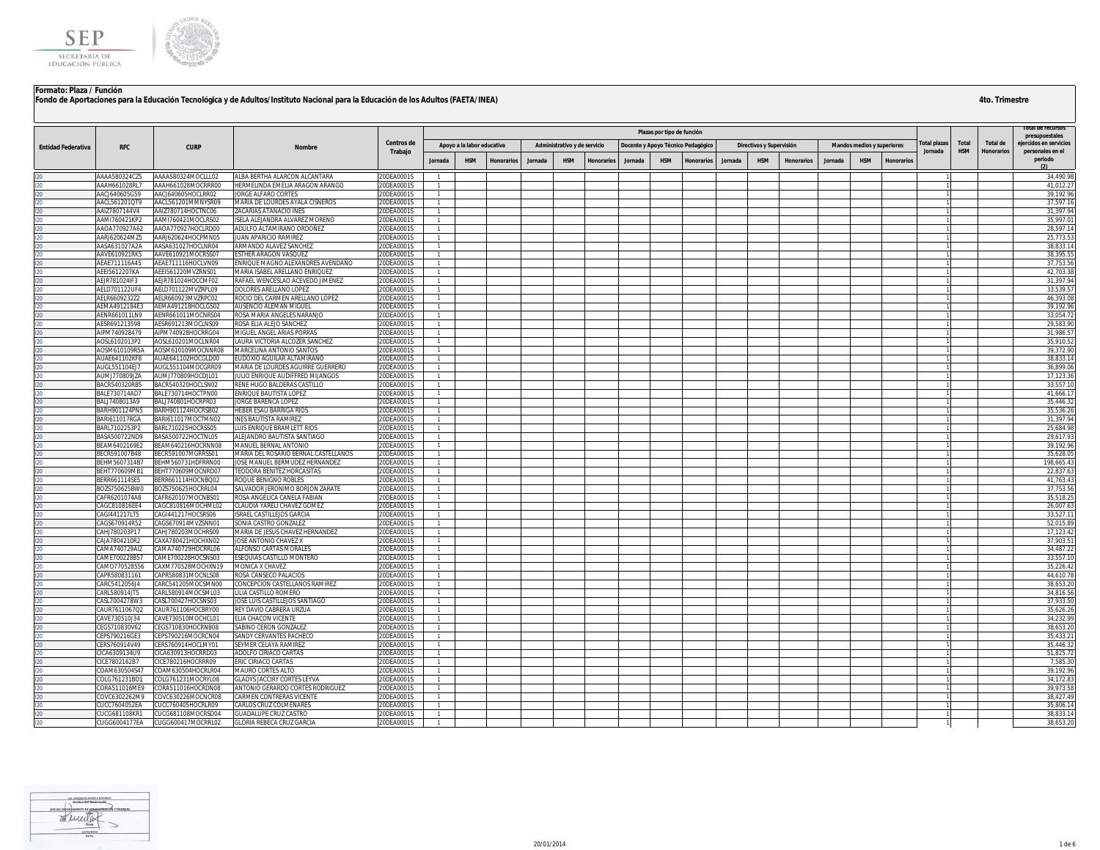



|                           |                                       |                                          |                                                                   | Centros de               |                                  |                            |            |         |                              |            |         | Plazas por tipo de función |                                    |         |                          |                   |         |                                   |                   |                        |                     |                               | presupuestales                             |
|---------------------------|---------------------------------------|------------------------------------------|-------------------------------------------------------------------|--------------------------|----------------------------------|----------------------------|------------|---------|------------------------------|------------|---------|----------------------------|------------------------------------|---------|--------------------------|-------------------|---------|-----------------------------------|-------------------|------------------------|---------------------|-------------------------------|--------------------------------------------|
| <b>Entidad Federativa</b> | <b>RFC</b>                            | <b>CURP</b>                              | Nombre                                                            | Trabajo                  |                                  | Apoyo a la labor educativa |            |         | Administrativo y de servicio |            |         |                            | Docente y Apoyo Técnico Pedagógico |         | Directivos y Supervisión |                   |         | <b>Mandos medios y superiores</b> |                   | otal plazas<br>Jornada | Total<br><b>HSM</b> | Total de<br><b>Honorarios</b> | ejercidos en servicios<br>personales en el |
|                           |                                       |                                          |                                                                   |                          | Jornada                          | <b>HSM</b>                 | Honorarios | Jornada | <b>HSM</b>                   | Honorarios | Jornada | <b>HSM</b>                 | Honorarios                         | Jornada | <b>HSM</b>               | <b>Honorarios</b> | Jornada | <b>HSM</b>                        | <b>Honorarios</b> |                        |                     |                               | periodo                                    |
|                           | AAAA580324CZ5                         | AAAA580324MOCLLL02                       | ALBA BERTHA ALARCON ALCANTARA                                     | 20DEA0001S               |                                  |                            |            |         |                              |            |         |                            |                                    |         |                          |                   |         |                                   |                   |                        |                     |                               | 34,490.98                                  |
|                           | AAAH661028RL7                         | AAAH661028MOCRRR00                       | HERMELINDA EMELIA ARAGON ARANGO                                   | 20DEA0001S               | $\mathbf{1}$                     |                            |            |         |                              |            |         |                            |                                    |         |                          |                   |         |                                   |                   |                        |                     |                               | 41,012.27                                  |
|                           | AACJ640605G59                         | AACJ640605HOCLRR02                       | <b>ORGE ALFARO CORTES</b>                                         | 20DEA0001S               | $\overline{1}$                   |                            |            |         |                              |            |         |                            |                                    |         |                          |                   |         |                                   |                   |                        |                     |                               | 39,192.96                                  |
|                           | AACL561201QT9                         | AACL561201MMNYSR09                       | MARIA DE LOURDES AYALA CISNEROS                                   | 20DEA0001S               | $\overline{1}$                   |                            |            |         |                              |            |         |                            |                                    |         |                          |                   |         |                                   |                   |                        |                     |                               | 37,597.16                                  |
|                           | AAIZ7807144V4                         | AAIZ780714HOCTNC06                       | <b>ZACARIAS ATANACIO INES</b>                                     | 20DEA0001S               | $\mathbf{1}$                     |                            |            |         |                              |            |         |                            |                                    |         |                          |                   |         |                                   |                   |                        |                     |                               | 31,397.94                                  |
|                           | AAMI760421KP2                         | AAMI760421MOCLRS02                       | ISELA ALEJANDRA ALVAREZ MORENO                                    | 20DEA0001S               | $\overline{1}$                   |                            |            |         |                              |            |         |                            |                                    |         |                          |                   |         |                                   |                   |                        |                     |                               | 35,997.01                                  |
|                           | AAOA770927A62                         | AAOA770927HOCLRD00                       | ADULFO ALTAMIRANO ORDOÑEZ                                         | 20DEA0001S               | $\overline{1}$                   |                            |            |         |                              |            |         |                            |                                    |         |                          |                   |         |                                   |                   |                        |                     |                               | 28,597.14                                  |
|                           | AARJ620624MZ5                         | AARJ620624HOCPMN05                       | JUAN APARICIO RAMIREZ                                             | 20DEA0001S               |                                  |                            |            |         |                              |            |         |                            |                                    |         |                          |                   |         |                                   |                   |                        |                     |                               | 25,773.53                                  |
|                           | AASA631027A2A<br>AAVE610921RK5        | AASA631027HOCLNR04<br>AAVE610921MOCRSS07 | ARMANDO ALAVEZ SANCHEZ<br><b>ESTHER ARAGON VASQUEZ</b>            | 20DEA0001S<br>20DEA0001S | $\overline{1}$                   |                            |            |         |                              |            |         |                            |                                    |         |                          |                   |         |                                   |                   |                        |                     |                               | 38,833.14<br>38,395.55                     |
|                           | AEAE711116A45                         | AEAE711116HOCLVN09                       | ENRIQUE MAGNO ALEXANDRES AVENDAÑO                                 | 20DEA0001S               | $\overline{1}$                   |                            |            |         |                              |            |         |                            |                                    |         |                          |                   |         |                                   |                   |                        |                     |                               | 37,753.56                                  |
|                           | AEEI5612207KA                         | AEEI561220MVZRNS01                       | MARIA ISABEL ARELLANO ENRIQUEZ                                    | 20DEA0001S               | $\overline{1}$                   |                            |            |         |                              |            |         |                            |                                    |         |                          |                   |         |                                   |                   |                        |                     |                               | 42,703.38                                  |
|                           | LEJR781024IF3                         | AEJR781024HOCCMF02                       | AFAEL WENCESLAO ACEVEDO JIMENEZ                                   | <b>ODEA0001S</b>         | $\mathbf{1}$                     |                            |            |         |                              |            |         |                            |                                    |         |                          |                   |         |                                   |                   |                        |                     |                               | 31,397.94                                  |
|                           | AELD701122UF4                         | AELD701122MVZRPL09                       | <b>DOLORES ARELLANO LOPEZ</b>                                     | 20DEA0001S               | $\overline{1}$                   |                            |            |         |                              |            |         |                            |                                    |         |                          |                   |         |                                   |                   |                        |                     |                               | 33,539.57                                  |
|                           | AELR6609232Z2                         | AELR660923MVZRPC02                       | ROCIO DEL CARMEN ARELLANO LOPEZ                                   | 20DEA0001S               | $\overline{1}$                   |                            |            |         |                              |            |         |                            |                                    |         |                          |                   |         |                                   |                   |                        |                     |                               | 46,393.08                                  |
|                           | AEMA4912184E3                         | AEMA491218HOCLGS02                       | AUSENCIO ALEMAN MIGUEL                                            | 20DEA0001S               | $\overline{1}$                   |                            |            |         |                              |            |         |                            |                                    |         |                          |                   |         |                                   |                   |                        |                     |                               | 39,192.96                                  |
|                           | AENR661011LN9                         | AENR661011MOCNRS04                       | ROSA MARIA ANGELES NARANJO                                        | 20DEA0001S               |                                  |                            |            |         |                              |            |         |                            |                                    |         |                          |                   |         |                                   |                   |                        |                     |                               | 33.054.72                                  |
|                           | AESR691213598                         | AESR691213MOCLNS09                       | ROSA ELIA ALEJO SANCHEZ                                           | 20DEA0001S               | $\overline{1}$<br>$\mathbf{1}$   |                            |            |         |                              |            |         |                            |                                    |         |                          |                   |         |                                   |                   |                        |                     |                               | 29,583.90                                  |
|                           | AIPM740928479<br>AOSL6102013P2        | AIPM740928HOCRRG04<br>AOSL610201MOCLNR04 | <b>MIGUEL ANGEL ARIAS PORRAS</b><br>AURA VICTORIA ALCOZER SANCHEZ | 20DEA0001S<br>20DEA0001S |                                  |                            |            |         |                              |            |         |                            |                                    |         |                          |                   |         |                                   |                   |                        |                     |                               | 31,986.57<br>35,910.52                     |
|                           | AOSM610109R5A                         | AOSM610109MOCNNR08                       | <b>MARCELINA ANTONIO SANTOS</b>                                   | ODEA0001S                | $\mathbf{1}$                     |                            |            |         |                              |            |         |                            |                                    |         |                          |                   |         |                                   |                   |                        |                     |                               | 39,372.90                                  |
|                           | AUAE641102KF8                         | AUAE641102HOCGLD00                       | <b>EUDOXIO AGUILAR ALTAMIRANO</b>                                 | 20DEA0001S               | $\mathbf{1}$                     |                            |            |         |                              |            |         |                            |                                    |         |                          |                   |         |                                   |                   |                        |                     |                               | 38,833.14                                  |
|                           | AUGL551104EJ7                         | AUGL551104MOCGRR09                       | MARIA DE LOURDES AGUIRRE GUERRERO                                 | 20DEA0001S               |                                  |                            |            |         |                              |            |         |                            |                                    |         |                          |                   |         |                                   |                   |                        |                     |                               | 36,899.06                                  |
|                           | AUMJ770809JZA                         | AUMJ770809HOCDJL01                       | JULIO ENRIQUE AUDIFFRED MIJANGOS                                  | 20DEA0001S               |                                  |                            |            |         |                              |            |         |                            |                                    |         |                          |                   |         |                                   |                   |                        |                     |                               | 17,123.36                                  |
|                           | BACR540320RB5                         | BACR540320HOCLSN02                       | RENE HUGO BALDERAS CASTILLO                                       | 20DEA0001S               | $\overline{1}$                   |                            |            |         |                              |            |         |                            |                                    |         |                          |                   |         |                                   |                   |                        |                     |                               | 33.557.1                                   |
|                           | BALE730714AD7                         | BALE730714HOCTPN00                       | ENRIQUE BAUTISTA LOPEZ                                            | 20DEA0001S               | $\overline{1}$                   |                            |            |         |                              |            |         |                            |                                    |         |                          |                   |         |                                   |                   |                        |                     |                               | 41,666.1                                   |
|                           | BALJ7408013A9                         | BALJ740801HOCRPR03                       | JORGE BARENCA LOPEZ                                               | 20DEA0001S               | $\overline{1}$                   |                            |            |         |                              |            |         |                            |                                    |         |                          |                   |         |                                   |                   |                        |                     |                               | 35,446.32                                  |
|                           | BARH901124PN5                         | BARH901124HOCRSB02                       | <b>IEBER ESAU BARRIGA RIOS</b>                                    | ODEA0001S                | $\overline{1}$                   |                            |            |         |                              |            |         |                            |                                    |         |                          |                   |         |                                   |                   |                        |                     |                               | 35,536.26                                  |
|                           | BARI611017RGA                         | BARI611017MOCTMN02                       | NES BAUTISTA RAMIREZ                                              | 20DEA0001S               | $\overline{1}$                   |                            |            |         |                              |            |         |                            |                                    |         |                          |                   |         |                                   |                   |                        |                     |                               | 31,397.94                                  |
|                           | BARL7102253P2                         | BARL710225HOCRSS05                       | LUIS ENRIQUE BRAMLETT RIOS                                        | 20DEA0001S               | $\overline{1}$                   |                            |            |         |                              |            |         |                            |                                    |         |                          |                   |         |                                   |                   |                        |                     |                               | 25,684.98<br>29,617.93                     |
|                           | BASA500722ND9<br>BEAM6402169E2        | BASA500722HOCTNL05<br>BEAM640216HOCRNN08 | ALEJANDRO BAUTISTA SANTIAGO<br>MANUEL BERNAL ANTONIO              | 20DEA0001S<br>20DEA0001S |                                  |                            |            |         |                              |            |         |                            |                                    |         |                          |                   |         |                                   |                   |                        |                     |                               | 39,192.96                                  |
|                           | BECR591007B48                         | BECR591007MGRRSS01                       | MARIA DEL ROSARIO BERNAL CASTELLANOS                              | 20DEA0001S               |                                  |                            |            |         |                              |            |         |                            |                                    |         |                          |                   |         |                                   |                   |                        |                     |                               | 35,628.05                                  |
|                           | BEHM5607314B7                         | BEHM560731HDFRRN00                       | OSE MANUEL BERMUDEZ HERNANDEZ                                     | 20DEA0001S               | $\mathbf{1}$                     |                            |            |         |                              |            |         |                            |                                    |         |                          |                   |         |                                   |                   |                        |                     |                               | 198,665.43                                 |
|                           | BEHT770609MB1                         | BEHT770609MOCNRD07                       | <b>FEODORA BENITEZ HORCASITAS</b>                                 | 20DEA0001S               | $\mathbf{1}$                     |                            |            |         |                              |            |         |                            |                                    |         |                          |                   |         |                                   |                   |                        |                     |                               | 22,837.63                                  |
|                           | BERR661114SE5                         | BERR661114HOCNBQ02                       | ROQUE BENIGNO ROBLES                                              | 20DEA0001S               | $\mathbf{1}$                     |                            |            |         |                              |            |         |                            |                                    |         |                          |                   |         |                                   |                   |                        |                     |                               | 41,763.43                                  |
|                           | BOZS750625BW0                         | BOZS750625HOCRRL04                       | SALVADOR JERONIMO BORJON ZARATE                                   | 20DEA0001S               | -1.                              |                            |            |         |                              |            |         |                            |                                    |         |                          |                   |         |                                   |                   |                        |                     |                               | 37,753.56                                  |
|                           | CAFR6201074A8                         | CAFR620107MOCNBS01                       | ROSA ANGELICA CANELA FABIAN                                       | 20DEA0001S               | $\overline{1}$                   |                            |            |         |                              |            |         |                            |                                    |         |                          |                   |         |                                   |                   |                        |                     |                               | 35,518.25                                  |
|                           | CAGC810816EE4                         | CAGC810816MOCHML02                       | CLAUDIA YARELI CHAVEZ GOMEZ                                       | 20DEA0001S               |                                  |                            |            |         |                              |            |         |                            |                                    |         |                          |                   |         |                                   |                   |                        |                     |                               | 26,007.63                                  |
|                           | CAGI441217LT5<br>CAGS670914R52        | CAGI441217HOCSRS06<br>CAGS670914MVZSNN01 | ISRAEL CASTILLEJOS GARCIA<br>SONIA CASTRO GONZALEZ                | 20DEA0001S<br>20DEA0001S | $\overline{1}$<br>$\overline{1}$ |                            |            |         |                              |            |         |                            |                                    |         |                          |                   |         |                                   |                   |                        |                     |                               | 33.527.1<br>52,015.89                      |
|                           | CAHJ780203P17                         | CAHJ780203MOCHRS09                       | MARIA DE JESUS CHAVEZ HERNANDEZ                                   | 20DEA0001S               | $\mathbf{1}$                     |                            |            |         |                              |            |         |                            |                                    |         |                          |                   |         |                                   |                   |                        |                     |                               | 17,123.42                                  |
|                           | CAJA7804210R2                         | CAXA780421HOCHXN02                       | <b>IOSE ANTONIO CHAVEZ X</b>                                      | ODEA0001S                | $\overline{1}$                   |                            |            |         |                              |            |         |                            |                                    |         |                          |                   |         |                                   |                   |                        |                     |                               | 37,903.5                                   |
|                           | CAMA740729AI2                         | CAMA740729HOCRRL06                       | ALFONSO CARTAS MORALES                                            | ODEA0001S                | $\overline{1}$                   |                            |            |         |                              |            |         |                            |                                    |         |                          |                   |         |                                   |                   |                        |                     |                               | 34,487.22                                  |
|                           | CAME700228B57                         | CAME700228HOCSNS03                       | ESEQUIAS CASTILLO MONTERO                                         | 20DEA0001S               | $\overline{1}$                   |                            |            |         |                              |            |         |                            |                                    |         |                          |                   |         |                                   |                   |                        |                     |                               | 33,557.10                                  |
|                           | CAMO770528556                         | CAXM770528MOCHXN19                       | MONICA X CHAVEZ                                                   | 20DEA0001S               | $\mathbf{1}$                     |                            |            |         |                              |            |         |                            |                                    |         |                          |                   |         |                                   |                   |                        |                     |                               | 35,226.42                                  |
|                           | CAPR580831161                         | CAPR580831MOCNLS08                       | ROSA CANSECO PALACIOS                                             | 20DEA0001S               |                                  |                            |            |         |                              |            |         |                            |                                    |         |                          |                   |         |                                   |                   |                        |                     |                               | 44,610.78                                  |
|                           | CARC5412056J4                         | CARC541205MOCSMN00                       | <b>CONCEPCION CASTELLANOS RAMIREZ</b>                             | ODEA0001S                |                                  |                            |            |         |                              |            |         |                            |                                    |         |                          |                   |         |                                   |                   |                        |                     |                               | 38,653.20                                  |
|                           | CARL580914JT5                         | CARL580914MOCSML03                       | <b>ILIA CASTILLO ROMERO</b>                                       | 20DEA0001S               | $\mathbf{1}$                     |                            |            |         |                              |            |         |                            |                                    |         |                          |                   |         |                                   |                   |                        |                     |                               | 34,816.56                                  |
|                           | CASL7004278W3                         | CASL700427HOCSNS03                       | <b>OSE LUIS CASTILLEJOS SANTIAGO</b>                              | 20DEA0001S               |                                  |                            |            |         |                              |            |         |                            |                                    |         |                          |                   |         |                                   |                   |                        |                     |                               | 37,933.50                                  |
|                           | CAUR7611067Q2                         | CAUR761106HOCBRY00                       | REY DAVID CABRERA URZUA                                           | 20DEA0001S               |                                  |                            |            |         |                              |            |         |                            |                                    |         |                          |                   |         |                                   |                   |                        |                     |                               | 35,626.26                                  |
|                           | CAVE730510J34<br>CEGS710830V62        | CAVE730510MOCHCL01<br>CEGS710830HOCRNB08 | ELIA CHACON VICENTE<br>SABINO CERON GONZALEZ                      | ODEA0001S<br>20DEA0001S  | -1<br>$\overline{1}$             |                            |            |         |                              |            |         |                            |                                    |         |                          |                   |         |                                   |                   |                        |                     |                               | 34,232.99<br>38,653.20                     |
|                           | CEPS790216GE3                         | CEPS790216MOCRCN04                       | SANDY CERVANTES PACHECO                                           | 20DEA0001S               |                                  |                            |            |         |                              |            |         |                            |                                    |         |                          |                   |         |                                   |                   |                        |                     |                               | 35,433.2                                   |
|                           | ERS760914V49                          | CERS760914HOCLMY01                       | SEYMER CELAYA RAMIREZ                                             | 20DEA0001S               |                                  |                            |            |         |                              |            |         |                            |                                    |         |                          |                   |         |                                   |                   |                        |                     |                               | 35.446.32                                  |
|                           | CICA6309134U9                         | CICA630913HOCRRD03                       | ADOLFO CIRIACO CARTAS                                             | 20DEA0001S               | $\overline{1}$                   |                            |            |         |                              |            |         |                            |                                    |         |                          |                   |         |                                   |                   |                        |                     |                               | 51,825.7                                   |
|                           | CICE7802162B7                         | CICE780216HOCRRR09                       | ERIC CIRIACO CARTAS                                               | 20DEA0001S               | $\overline{1}$                   |                            |            |         |                              |            |         |                            |                                    |         |                          |                   |         |                                   |                   |                        |                     |                               | 7,585.30                                   |
|                           | COAM630504S47                         | COAM630504HOCRLR04                       | MAURO CORTES ALTO                                                 | 20DEA0001S               | $\overline{1}$                   |                            |            |         |                              |            |         |                            |                                    |         |                          |                   |         |                                   |                   |                        |                     |                               | 39,192.96                                  |
|                           | OLG761231BD1                          | COLG761231MOCRYL08                       | <b>GLADYS JACCIRY CORTES LEYVA</b>                                | ODEA0001S                | $\overline{1}$                   |                            |            |         |                              |            |         |                            |                                    |         |                          |                   |         |                                   |                   |                        |                     |                               | 34,172.83                                  |
|                           | CORA511016MF9                         | CORA511016HOCRDN08                       | ANTONIO GERARDO CORTES RODRIGUEZ                                  | 20DEA0001S               | $\overline{1}$                   |                            |            |         |                              |            |         |                            |                                    |         |                          |                   |         |                                   |                   |                        |                     |                               | 39.973.58                                  |
|                           | COVC6302262M9                         | COVC630226MOCNCR08                       | CARMEN CONTRERAS VICENTE                                          | 20DEA0001S               | $\overline{1}$                   |                            |            |         |                              |            |         |                            |                                    |         |                          |                   |         |                                   |                   |                        |                     |                               | 38,427.49                                  |
|                           | CUCC7604052EA                         | CUCC760405HOCRLR09                       | CARLOS CRUZ COLMENARES                                            | 20DEA0001S               | $\overline{1}$                   |                            |            |         |                              |            |         |                            |                                    |         |                          |                   |         |                                   |                   |                        |                     |                               | 35.806.14                                  |
|                           | <b>CUCG681108KR1</b><br>CUGG6004177EA | CUCG681108MOCRSD04<br>CUGG600417MOCRRL02 | GUADALUPE CRUZ CASTRO<br><b>GLORIA REBECA CRUZ GARCIA</b>         | 20DEA0001S<br>20DEA0001S | $\overline{1}$                   |                            |            |         |                              |            |         |                            |                                    |         |                          |                   |         |                                   |                   |                        |                     |                               | 38.833.14<br>38,653.20                     |
|                           |                                       |                                          |                                                                   |                          |                                  |                            |            |         |                              |            |         |                            |                                    |         |                          |                   |         |                                   |                   |                        |                     |                               |                                            |

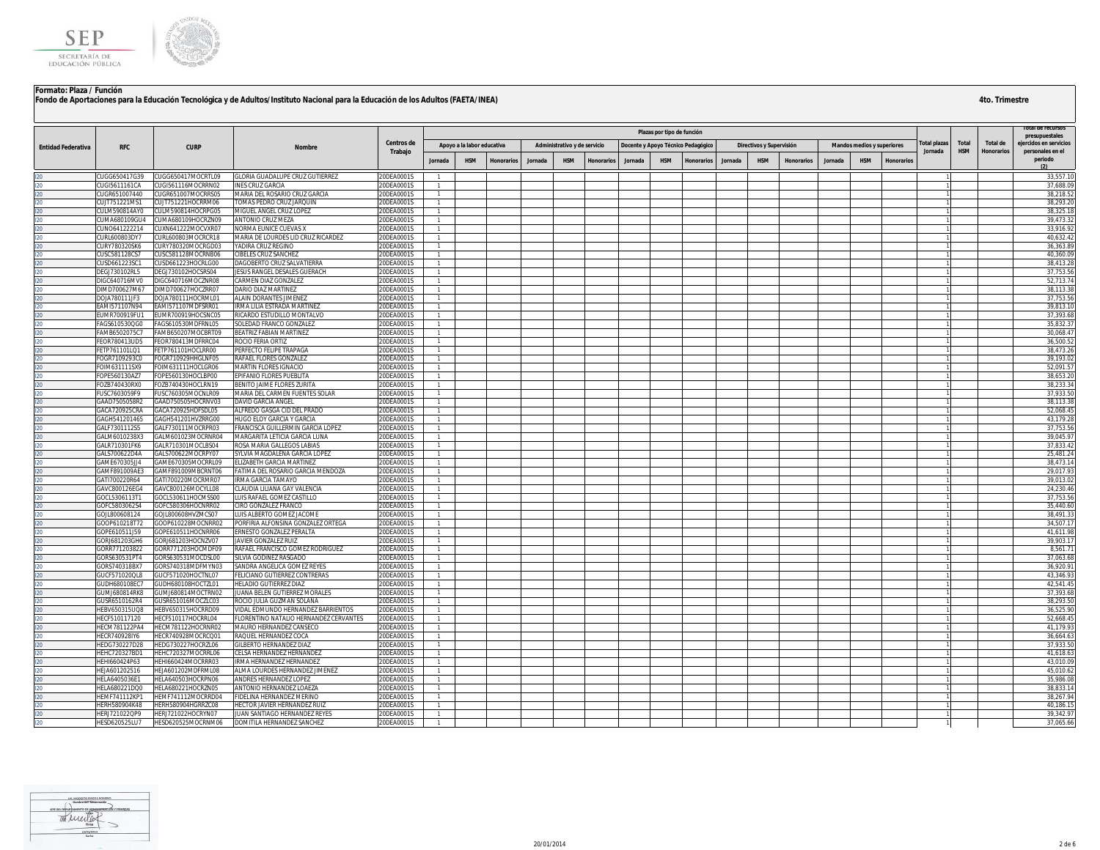

|                           |                                |                                          |                                                             | Centros de               |                                  |                            |                   |         |                              |                   |                | Plazas por tipo de función |                                    |         |                          |                   |         |                                   |                   |                                |                            |                               | presupuestales                             |
|---------------------------|--------------------------------|------------------------------------------|-------------------------------------------------------------|--------------------------|----------------------------------|----------------------------|-------------------|---------|------------------------------|-------------------|----------------|----------------------------|------------------------------------|---------|--------------------------|-------------------|---------|-----------------------------------|-------------------|--------------------------------|----------------------------|-------------------------------|--------------------------------------------|
| <b>Entidad Federativa</b> | <b>RFC</b>                     | <b>CURP</b>                              | Nombre                                                      | Trabajo                  |                                  | Apoyo a la labor educativa |                   |         | Administrativo y de servicio |                   |                |                            | Docente y Apoyo Técnico Pedagógico |         | Directivos y Supervisión |                   |         | <b>Mandos medios y superiores</b> |                   | <b>Total plazas</b><br>Jornada | <b>Total</b><br><b>HSM</b> | Total de<br><b>Honorarios</b> | ejercidos en servicios<br>personales en el |
|                           |                                |                                          |                                                             |                          | Jornada                          | <b>HSM</b>                 | <b>Honorarios</b> | Jornada | <b>HSM</b>                   | <b>Honorarios</b> | <b>Jornada</b> | <b>HSM</b>                 | <b>Honorarios</b>                  | Jornada | <b>HSM</b>               | <b>Honorarios</b> | Jornada | <b>HSM</b>                        | <b>Honorarios</b> |                                |                            |                               | periodo                                    |
|                           | CUGG650417G39                  | CUGG650417MOCRTL09                       | GLORIA GUADALUPE CRUZ GUTIERREZ                             | 20DEA0001S               |                                  |                            |                   |         |                              |                   |                |                            |                                    |         |                          |                   |         |                                   |                   |                                |                            |                               | 33,557.10                                  |
|                           | CUGI5611161CA                  | CUGI561116MOCRRN02                       | NES CRUZ GARCIA                                             | 20DEA0001S               |                                  |                            |                   |         |                              |                   |                |                            |                                    |         |                          |                   |         |                                   |                   |                                |                            |                               | 37.688.0                                   |
|                           | CUGR651007440                  | CUGR651007MOCRRS05                       | MARIA DEL ROSARIO CRUZ GARCIA                               | 20DEA0001S               | $\overline{1}$                   |                            |                   |         |                              |                   |                |                            |                                    |         |                          |                   |         |                                   |                   |                                |                            |                               | 38,218.52                                  |
|                           | CUJT751221MS1                  | CUJT751221HOCRRM06                       | TOMAS PEDRO CRUZ JARQUIN                                    | 20DEA0001S               | $\overline{1}$                   |                            |                   |         |                              |                   |                |                            |                                    |         |                          |                   |         |                                   |                   |                                |                            |                               | 38,293.20                                  |
|                           | CULM590814AY0                  | CULM590814HOCRPG05                       | MIGUEL ANGEL CRUZ LOPEZ                                     | 20DEA0001S               |                                  |                            |                   |         |                              |                   |                |                            |                                    |         |                          |                   |         |                                   |                   |                                |                            |                               | 38,325.18                                  |
|                           | CUMA680109GU4                  | CUMA680109HOCRZN09                       | ANTONIO CRUZ MEZA                                           | 20DEA0001S               | $\overline{1}$                   |                            |                   |         |                              |                   |                |                            |                                    |         |                          |                   |         |                                   |                   |                                |                            |                               | 39,473.32                                  |
|                           | CUNO641222214                  | CUXN641222MOCVXR07                       | NORMA EUNICE CUEVAS X<br>MARIA DE LOURDES LID CRUZ RICARDEZ | 20DEA0001S               | $\overline{1}$                   |                            |                   |         |                              |                   |                |                            |                                    |         |                          |                   |         |                                   |                   |                                |                            |                               | 33,916.9<br>40,632.42                      |
|                           | CURL600803DY7<br>CURY780320SK6 | CURL600803MOCRCR18<br>CURY780320MOCRGD03 | YADIRA CRUZ REGINO                                          | 20DEA0001S<br>20DEA0001S | $\overline{1}$<br>$\overline{1}$ |                            |                   |         |                              |                   |                |                            |                                    |         |                          |                   |         |                                   |                   |                                |                            |                               | 36,363.8                                   |
|                           | CUSC581128CS7                  | CUSC581128MOCRNB06                       | <b>IBELES CRUZ SANCHEZ</b>                                  | 20DEA0001S               | $\overline{1}$                   |                            |                   |         |                              |                   |                |                            |                                    |         |                          |                   |         |                                   |                   |                                |                            |                               | 40,360.0                                   |
|                           | CUSD661223SC1                  | CUSD661223HOCRLG00                       | DAGOBERTO CRUZ SALVATIERRA                                  | 20DEA0001S               | $\overline{1}$                   |                            |                   |         |                              |                   |                |                            |                                    |         |                          |                   |         |                                   |                   |                                |                            |                               | 38,413.28                                  |
|                           | DEGJ730102RL5                  | DEGJ730102HOCSRS04                       | JESUS RANGEL DESALES GUERACH                                | 20DEA0001S               | $\overline{1}$                   |                            |                   |         |                              |                   |                |                            |                                    |         |                          |                   |         |                                   |                   |                                |                            |                               | 37,753.5                                   |
|                           | DIGC640716MV0                  | DIGC640716MOCZNR08                       | ARMEN DIAZ GONZALEZ                                         | 20DEA0001S               |                                  |                            |                   |         |                              |                   |                |                            |                                    |         |                          |                   |         |                                   |                   |                                |                            |                               | 52,713.74                                  |
|                           | DIMD700627M67                  | DIMD700627HOCZRR07                       | DARIO DIAZ MARTINEZ                                         | 20DEA0001S               | -1.                              |                            |                   |         |                              |                   |                |                            |                                    |         |                          |                   |         |                                   |                   |                                |                            |                               | 38.113.38                                  |
|                           | DOIA780111IE3                  | DOJA780111HOCRML01                       | <b>ALAIN DORANTES JIMENEZ</b>                               | 20DEA0001S               | $\overline{1}$                   |                            |                   |         |                              |                   |                |                            |                                    |         |                          |                   |         |                                   |                   |                                |                            |                               | 37.753.56                                  |
|                           | EAMI571107N94                  | EAMI571107MDFSRR01                       | IRMA LILIA ESTRADA MARTINEZ                                 | 20DEA0001S               | $\overline{1}$                   |                            |                   |         |                              |                   |                |                            |                                    |         |                          |                   |         |                                   |                   |                                |                            |                               | 39,813.10                                  |
|                           | UMR700919FU1                   | EUMR700919HOCSNC05                       | <b>ICARDO ESTUDILLO MONTALVO</b>                            | 20DEA0001S               |                                  |                            |                   |         |                              |                   |                |                            |                                    |         |                          |                   |         |                                   |                   |                                |                            |                               | 37.393.68                                  |
|                           | AGS610530QG0                   | FAGS610530MDFRNL05                       | <b>SOLEDAD FRANCO GONZALEZ</b>                              | 20DEA0001S               | $\overline{1}$<br>$\overline{1}$ |                            |                   |         |                              |                   |                |                            |                                    |         |                          |                   |         |                                   |                   |                                |                            |                               | 35,832.3                                   |
|                           | AMB6502075C7<br>FEOR780413UD5  | FAMB650207MOCBRT09<br>FEOR780413MDFRRC04 | BEATRIZ FABIAN MARTINEZ<br>ROCIO FERIA ORTIZ                | 20DEA0001S<br>20DEA0001S |                                  |                            |                   |         |                              |                   |                |                            |                                    |         |                          |                   |         |                                   |                   |                                |                            |                               | 30,068.4<br>36,500.5                       |
|                           | ETP761101LQ1                   | FETP761101HOCLRR00                       | <b>ERFECTO FELIPE TRAPAGA</b>                               | 20DEA0001S               |                                  |                            |                   |         |                              |                   |                |                            |                                    |         |                          |                   |         |                                   |                   |                                |                            |                               | 38,473.26                                  |
|                           | OGR7109293C0                   | FOGR710929HHGLNF05                       | RAFAEL FLORES GONZALEZ                                      | 20DEA0001S               | $\overline{1}$                   |                            |                   |         |                              |                   |                |                            |                                    |         |                          |                   |         |                                   |                   |                                |                            |                               | 39.193.02                                  |
|                           | FOIM631111SX9                  | FOIM631111HOCLGR06                       | MARTIN FLORES IGNACIO                                       | 20DEA0001S               | $\overline{1}$                   |                            |                   |         |                              |                   |                |                            |                                    |         |                          |                   |         |                                   |                   |                                |                            |                               | 52,091.5                                   |
|                           | FOPE560130AZ7                  | FOPE560130HOCLBP00                       | EPIFANIO FLORES PUEBLITA                                    | 20DEA0001S               | $\overline{1}$                   |                            |                   |         |                              |                   |                |                            |                                    |         |                          |                   |         |                                   |                   |                                |                            |                               | 38,653.2                                   |
|                           | OZB740430RX0                   | FOZB740430HOCLRN19                       | BENITO JAIME FLORES ZURITA                                  | 20DEA0001S               | $\overline{1}$                   |                            |                   |         |                              |                   |                |                            |                                    |         |                          |                   |         |                                   |                   |                                |                            |                               | 38.233.3                                   |
|                           | USC7603059F9                   | FUSC760305MOCNLR09                       | MARIA DEL CARMEN FUENTES SOLAR                              | 20DEA0001S               | $\overline{1}$                   |                            |                   |         |                              |                   |                |                            |                                    |         |                          |                   |         |                                   |                   |                                |                            |                               | 37,933.50                                  |
|                           | GAAD7505058R2                  | GAAD750505HOCRNV03                       | DAVID GARCIA ANGEL                                          | 20DEA0001S               | $\overline{1}$                   |                            |                   |         |                              |                   |                |                            |                                    |         |                          |                   |         |                                   |                   |                                |                            |                               | 38,113.3                                   |
|                           | GACA720925CRA                  | GACA720925HDFSDL05                       | <b>LEREDO GASGA CID DEL PRADO</b>                           | 20DEA0001S               |                                  |                            |                   |         |                              |                   |                |                            |                                    |         |                          |                   |         |                                   |                   |                                |                            |                               | 52,068.4                                   |
|                           | GAGH541201465                  | GAGH541201HVZRRG00                       | HUGO ELOY GARCIA Y GARCIA                                   | 20DEA0001S               | $\overline{1}$                   |                            |                   |         |                              |                   |                |                            |                                    |         |                          |                   |         |                                   |                   |                                |                            |                               | 43,179.28                                  |
|                           | GALF7301112S5                  | GALF730111MOCRPR03                       | FRANCISCA GUILLERMIN GARCIA LOPEZ                           | 20DEA0001S               | $\overline{1}$                   |                            |                   |         |                              |                   |                |                            |                                    |         |                          |                   |         |                                   |                   |                                |                            |                               | 37.753.56                                  |
|                           | GALM6010238X3                  | GALM601023MOCRNR04                       | MARGARITA LETICIA GARCIA LUNA                               | 20DEA0001S<br>20DEA0001S | $\overline{1}$                   |                            |                   |         |                              |                   |                |                            |                                    |         |                          |                   |         |                                   |                   |                                |                            |                               | 39,045.9                                   |
|                           | GALR710301FK6<br>GALS700622D4A | GALR710301MOCLBS04<br>GALS700622MOCRPY07 | ROSA MARIA GALLEGOS LABIAS<br>SYLVIA MAGDALENA GARCIA LOPEZ | 20DEA0001S               | $\overline{1}$                   |                            |                   |         |                              |                   |                |                            |                                    |         |                          |                   |         |                                   |                   |                                |                            |                               | 37,833.4<br>25,481.24                      |
|                           | GAME670305JJ4                  | GAME670305MOCRRL09                       | LIZABETH GARCIA MARTINEZ                                    | 20DEA0001S               | $\overline{1}$                   |                            |                   |         |                              |                   |                |                            |                                    |         |                          |                   |         |                                   |                   |                                |                            |                               | 38,473.14                                  |
|                           | GAMF891009AE3                  | GAMF891009MBCRNT06                       | FATIMA DEL ROSARIO GARCIA MENDOZA                           | 20DEA0001S               | $\overline{1}$                   |                            |                   |         |                              |                   |                |                            |                                    |         |                          |                   |         |                                   |                   |                                |                            |                               | 29,017.9                                   |
|                           | GATI700220R64                  | GATI700220MOCRMR07                       | RMA GARCIA TAMAYO                                           | 20DEA0001S               | $\overline{1}$                   |                            |                   |         |                              |                   |                |                            |                                    |         |                          |                   |         |                                   |                   |                                |                            |                               | 39,013.02                                  |
|                           | GAVC800126EG4                  | GAVC800126MOCYLL08                       | LAUDIA LILIANA GAY VALENCIA                                 | 20DEA0001S               | -1                               |                            |                   |         |                              |                   |                |                            |                                    |         |                          |                   |         |                                   |                   |                                |                            |                               | 24,230.46                                  |
|                           | GOCL5306113T1                  | GOCL530611HOCMSS00                       | UIS RAFAEL GOMEZ CASTILLO                                   | 20DEA0001S               | $\overline{1}$                   |                            |                   |         |                              |                   |                |                            |                                    |         |                          |                   |         |                                   |                   |                                |                            |                               | 37,753.56                                  |
|                           | GOFC5803062S4                  | GOFC580306HOCNRR02                       | IRO GONZALEZ FRANCO                                         | 20DEA0001S               | $\overline{1}$                   |                            |                   |         |                              |                   |                |                            |                                    |         |                          |                   |         |                                   |                   |                                |                            |                               | 35,440.60                                  |
|                           | GOJL800608124                  | GOJL800608HVZMCS07                       | UIS ALBERTO GOMEZ JACOME                                    | 20DEA0001S               | $\overline{1}$                   |                            |                   |         |                              |                   |                |                            |                                    |         |                          |                   |         |                                   |                   |                                |                            |                               | 38,491.3                                   |
|                           | GOOP610218T72                  | GOOP610228MOCNRR02                       | ORFIRIA ALFONSINA GONZALEZ ORTEGA                           | 20DEA0001S               | $\overline{1}$                   |                            |                   |         |                              |                   |                |                            |                                    |         |                          |                   |         |                                   |                   |                                |                            |                               | 34,507.1                                   |
|                           | GOPE610511J59                  | GOPE610511HOCNRR06                       | <b>ERNESTO GONZALEZ PERALTA</b>                             | 20DEA0001S               | $\overline{1}$                   |                            |                   |         |                              |                   |                |                            |                                    |         |                          |                   |         |                                   |                   |                                |                            |                               | 41,611.98                                  |
|                           | GORJ681203GH6                  | GORJ681203HOCNZV07                       | AVIER GONZALEZ RUIZ                                         | 20DEA0001S               | $\overline{1}$                   |                            |                   |         |                              |                   |                |                            |                                    |         |                          |                   |         |                                   |                   |                                |                            |                               | 39,903.1                                   |
|                           | GORR771203822<br>GORS630531PT4 | GORR771203HOCMDF09<br>GORS630531MOCDSL00 | RAFAEL FRANCISCO GOMEZ RODRIGUEZ<br>SILVIA GODINEZ RASGADO  | 20DEA0001S<br>20DEA0001S | -1.<br>$\overline{1}$            |                            |                   |         |                              |                   |                |                            |                                    |         |                          |                   |         |                                   |                   |                                |                            |                               | 8,561.7<br>37.063.68                       |
|                           | GORS740318BX7                  | GORS740318MDFMYN03                       | SANDRA ANGELICA GOMEZ REYES                                 | 20DEA0001S               | $\overline{1}$                   |                            |                   |         |                              |                   |                |                            |                                    |         |                          |                   |         |                                   |                   |                                |                            |                               | 36,920.9                                   |
|                           | GUCF571020QL8                  | GUCF571020HOCTNL07                       | ELICIANO GUTIERREZ CONTRERAS                                | 20DEA0001S               |                                  |                            |                   |         |                              |                   |                |                            |                                    |         |                          |                   |         |                                   |                   |                                |                            |                               | 43.346.93                                  |
|                           | GUDH680108EC7                  | GUDH680108HOCTZL01                       | <b>HELADIO GUTIERREZ DIAZ</b>                               | 20DEA0001S               |                                  |                            |                   |         |                              |                   |                |                            |                                    |         |                          |                   |         |                                   |                   |                                |                            |                               | 42,541.45                                  |
|                           | <b>GUMJ680814RK8</b>           | GUMJ680814MOCTRN02                       | UANA BELEN GUTIERREZ MORALES                                | 20DEA0001S               | $\overline{1}$                   |                            |                   |         |                              |                   |                |                            |                                    |         |                          |                   |         |                                   |                   |                                |                            |                               | 37,393.68                                  |
|                           | GUSR6510162R4                  | GUSR651016MOCZLC03                       | ROCIO JULIA GUZMAN SOLANA                                   | 20DEA0001S               | $\overline{1}$                   |                            |                   |         |                              |                   |                |                            |                                    |         |                          |                   |         |                                   |                   |                                |                            |                               | 38,293.50                                  |
|                           | HEBV650315UQ8                  | HEBV650315HOCRRD09                       | IDAL EDMUNDO HERNANDEZ BARRIENTOS                           | 20DEA0001S               |                                  |                            |                   |         |                              |                   |                |                            |                                    |         |                          |                   |         |                                   |                   |                                |                            |                               | 36,525.90                                  |
|                           | HECF510117120                  | HECF510117HOCRRL04                       | LORENTINO NATALIO HERNANDEZ CERVANTES                       | 20DEA0001S               | -1                               |                            |                   |         |                              |                   |                |                            |                                    |         |                          |                   |         |                                   |                   |                                |                            |                               | 52.668.45                                  |
|                           | <b>HECM781122PA4</b>           | HECM781122HOCRNR02                       | <b>MAURO HERNANDEZ CANSECO</b>                              | 20DEA0001S               | $\overline{1}$                   |                            |                   |         |                              |                   |                |                            |                                    |         |                          |                   |         |                                   |                   |                                |                            |                               | 41,179.93                                  |
|                           | HECR740928IY6                  | HECR740928MOCRCQ01                       | RAQUEL HERNANDEZ COCA                                       | 20DEA0001S               | $\overline{1}$                   |                            |                   |         |                              |                   |                |                            |                                    |         |                          |                   |         |                                   |                   |                                |                            |                               | 36,664.6                                   |
|                           | HEDG730227D28                  | HEDG730227HOCRZL06                       | <b>ILBERTO HERNANDEZ DIAZ</b>                               | 20DEA0001S               |                                  |                            |                   |         |                              |                   |                |                            |                                    |         |                          |                   |         |                                   |                   |                                |                            |                               | 37,933.50                                  |
|                           | HEHC720327BD1<br>HEHI660424P63 | HEHC720327MOCRRL06<br>HEHI660424MOCRRR03 | ELSA HERNANDEZ HERNANDEZ<br>IRMA HERNANDEZ HERNANDEZ        | 20DEA0001S<br>20DEA0001S | $\overline{1}$<br>$\overline{1}$ |                            |                   |         |                              |                   |                |                            |                                    |         |                          |                   |         |                                   |                   |                                |                            |                               | 41,618.6<br>43,010.09                      |
|                           | IEJA601202516                  | HEJA601202MDFRML08                       | ALMA LOURDES HERNANDEZ JIMENEZ                              | 20DEA0001S               | $\overline{1}$                   |                            |                   |         |                              |                   |                |                            |                                    |         |                          |                   |         |                                   |                   |                                |                            |                               | 45,010.62                                  |
|                           | HELA6405036E1                  | HELA640503HOCRPN06                       | ANDRES HERNANDEZ LOPEZ                                      | 20DEA0001S               |                                  |                            |                   |         |                              |                   |                |                            |                                    |         |                          |                   |         |                                   |                   |                                |                            |                               | 35,986.0                                   |
|                           | HELA680221DQ0                  | HELA680221HOCRZN05                       | ANTONIO HERNANDEZ LOAEZA                                    | 20DEA0001S               | $\overline{1}$                   |                            |                   |         |                              |                   |                |                            |                                    |         |                          |                   |         |                                   |                   |                                |                            |                               | 38.833.14                                  |
|                           | <b>HEMF741112KP1</b>           | HEMF741112MOCRRD04                       | FIDELINA HERNANDEZ MERINO                                   | 20DEA0001S               | $\overline{1}$                   |                            |                   |         |                              |                   |                |                            |                                    |         |                          |                   |         |                                   |                   |                                |                            |                               | 38,267.94                                  |
|                           | HERH580904K48                  | HERH580904HGRRZC08                       | <b>HECTOR JAVIER HERNANDEZ RUIZ</b>                         | 20DEA0001S               |                                  |                            |                   |         |                              |                   |                |                            |                                    |         |                          |                   |         |                                   |                   |                                |                            |                               | 40.186.15                                  |
|                           | HERJ721022QP9                  | HERJ721022HOCRYN07                       | JUAN SANTIAGO HERNANDEZ REYES                               | 20DEA0001S               | $\mathbf{1}$                     |                            |                   |         |                              |                   |                |                            |                                    |         |                          |                   |         |                                   |                   |                                |                            |                               | 39,342.97                                  |
| 120                       | HESD620525LU7                  | HESD620525MOCRNM06                       | DOMITILA HERNANDEZ SANCHEZ                                  | 20DEA0001S               | $\overline{1}$                   |                            |                   |         |                              |                   |                |                            |                                    |         |                          |                   |         |                                   |                   |                                |                            |                               | 37,065.66                                  |

Monstown  $4/01/1$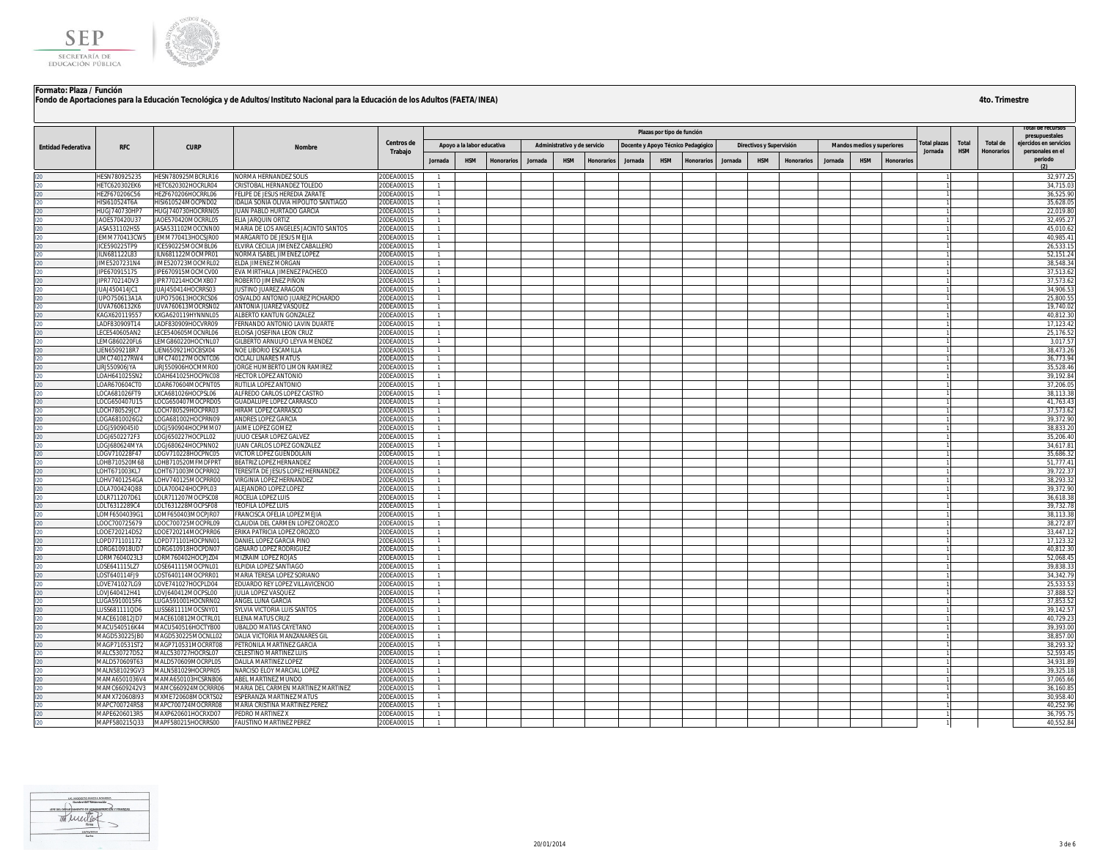

|                           |                                |                                          |                                                                  |                          |                                  |                            |                   |         |                              |                   |         |                            |                                    |         |                          |                   |         |                            |                   |                        |            |                   | otal de recurso                            |
|---------------------------|--------------------------------|------------------------------------------|------------------------------------------------------------------|--------------------------|----------------------------------|----------------------------|-------------------|---------|------------------------------|-------------------|---------|----------------------------|------------------------------------|---------|--------------------------|-------------------|---------|----------------------------|-------------------|------------------------|------------|-------------------|--------------------------------------------|
|                           |                                |                                          |                                                                  | Centros de               |                                  |                            |                   |         |                              |                   |         | Plazas por tipo de función |                                    |         |                          |                   |         |                            |                   |                        | Total      | Total de          | presupuestales                             |
| <b>Entidad Federativa</b> | <b>RFC</b>                     | <b>CURP</b>                              | Nombre                                                           | Trabajo                  |                                  | Apoyo a la labor educativa |                   |         | Administrativo y de servicio |                   |         |                            | Docente y Apoyo Técnico Pedagógico |         | Directivos y Supervisión |                   |         | Mandos medios y superiores |                   | otal plazas<br>Jornada | <b>HSM</b> | <b>Honorarios</b> | ejercidos en servicios<br>personales en el |
|                           |                                |                                          |                                                                  |                          | Jornada                          | <b>HSM</b>                 | <b>Honorarios</b> | Jornada | <b>HSM</b>                   | <b>Honorarios</b> | Jornada | <b>HSM</b>                 | <b>Honorarios</b>                  | Jornada | <b>HSM</b>               | <b>Honorarios</b> | Jornada | <b>HSM</b>                 | <b>Honorarios</b> |                        |            |                   | periodo                                    |
|                           | HESN780925235                  | HESN780925MBCRLR16                       | NORMA HERNANDEZ SOLIS                                            | 20DEA0001S               |                                  |                            |                   |         |                              |                   |         |                            |                                    |         |                          |                   |         |                            |                   |                        |            |                   | 32,977.25                                  |
|                           | HETC620302EK6                  | HETC620302HOCRLR04                       | <b>CRISTOBAL HERNANDEZ TOLEDO</b>                                | 20DEA0001S               |                                  |                            |                   |         |                              |                   |         |                            |                                    |         |                          |                   |         |                            |                   |                        |            |                   | 34.715.0                                   |
|                           | HEZF670206C56                  | HEZF670206HOCRRL06                       | ELIPE DE JESUS HEREDIA ZARATE                                    | 20DEA0001S               | $\overline{1}$                   |                            |                   |         |                              |                   |         |                            |                                    |         |                          |                   |         |                            |                   |                        |            |                   | 36,525.90                                  |
|                           | HISI610524T6A                  | HISI610524MOCPND02                       | IDALIA SONIA OLIVIA HIPOLITO SANTIAGO                            | 20DEA0001S               | $\overline{1}$                   |                            |                   |         |                              |                   |         |                            |                                    |         |                          |                   |         |                            |                   |                        |            |                   | 35,628.0                                   |
|                           | HUGJ740730HP7                  | HUGJ740730HOCRRN05                       | IUAN PABLO HURTADO GARCIA                                        | 20DEA0001S               |                                  |                            |                   |         |                              |                   |         |                            |                                    |         |                          |                   |         |                            |                   |                        |            |                   | 22,019.80                                  |
|                           | AOE570420U37                   | JAOE570420MOCRRL05                       | LIA JARQUIN ORTIZ                                                | 20DEA0001S               | $\overline{1}$                   |                            |                   |         |                              |                   |         |                            |                                    |         |                          |                   |         |                            |                   |                        |            |                   | 32,495.27                                  |
|                           | ASA531102HS5<br>JEMM770413CW5  | JASA531102MOCCNN00<br>JEMM770413HOCSJR00 | VARIA DE LOS ANGELES JACINTO SANTOS<br>MARGARITO DE JESUS MEJIA  | 20DEA0001S<br>20DEA0001S | $\overline{1}$                   |                            |                   |         |                              |                   |         |                            |                                    |         |                          |                   |         |                            |                   |                        |            |                   | 45.010.6<br>40,985.4                       |
|                           | IICE590225TP9                  | JICE590225MOCMBL06                       | LVIRA CECILIA JIMENEZ CABALLERO                                  | 20DEA0001S               | $\overline{1}$                   |                            |                   |         |                              |                   |         |                            |                                    |         |                          |                   |         |                            |                   |                        |            |                   | 26,533.1                                   |
|                           | ILN681122L83                   | JILN681122MOCMPR01                       | <b>VORMA ISABEL JIMENEZ LOPEZ</b>                                | 20DEA0001S               |                                  |                            |                   |         |                              |                   |         |                            |                                    |         |                          |                   |         |                            |                   |                        |            |                   | 52.151.2                                   |
|                           | IME5207231N4                   | JIME520723MOCMRL02                       | <b>ELDA JIMENEZ MORGAN</b>                                       | 20DEA0001S               | $\overline{1}$                   |                            |                   |         |                              |                   |         |                            |                                    |         |                          |                   |         |                            |                   |                        |            |                   | 38.548.3                                   |
|                           | JIPE670915175                  | JIPE670915MOCMCV00                       | VA MIRTHALA JIMENEZ PACHECO                                      | 20DEA0001S               | $\overline{1}$                   |                            |                   |         |                              |                   |         |                            |                                    |         |                          |                   |         |                            |                   |                        |            |                   | 37,513.62                                  |
|                           | <b>IPR770214DV3</b>            | IPR770214HOCMXB07                        | OBERTO JIMENEZ PIÑON                                             | 20DEA0001S               |                                  |                            |                   |         |                              |                   |         |                            |                                    |         |                          |                   |         |                            |                   |                        |            |                   | 37.573.6                                   |
|                           | UAJ450414JC1                   | JUAJ450414HOCRRS03                       | <b>USTINO JUAREZ ARAGON</b>                                      | 20DEA0001S               | -1                               |                            |                   |         |                              |                   |         |                            |                                    |         |                          |                   |         |                            |                   |                        |            |                   | 34.906.53                                  |
|                           | UPO750613A1A                   | JUPO750613HOCRCS06                       | OSVALDO ANTONIO JUAREZ PICHARDO                                  | 20DEA0001S               | $\overline{1}$                   |                            |                   |         |                              |                   |         |                            |                                    |         |                          |                   |         |                            |                   |                        |            |                   | 25,800.55                                  |
|                           | JUVA7606132K6                  | JUVA760613MOCRSN02                       | ANTONIA JUAREZ VASQUEZ                                           | 20DEA0001S               | $\overline{1}$                   |                            |                   |         |                              |                   |         |                            |                                    |         |                          |                   |         |                            |                   |                        |            |                   | 19,740.02                                  |
|                           | KAGX620119557                  | KXGA620119HYNNNL05                       | ALBERTO KANTUN GONZALEZ                                          | 20DEA0001S               |                                  |                            |                   |         |                              |                   |         |                            |                                    |         |                          |                   |         |                            |                   |                        |            |                   | 40,812.30                                  |
|                           | ADF830909T14<br>ECE540605AN2   | ADF830909HOCVRR09<br>ECE540605MOCNRL06   | ERNANDO ANTONIO LAVIN DUARTE                                     | 20DEA0001S<br>20DEA0001S | $\overline{1}$                   |                            |                   |         |                              |                   |         |                            |                                    |         |                          |                   |         |                            |                   |                        |            |                   | 17.123.42<br>25,176.52                     |
|                           | EMG860220FL6                   | EMG860220HOCYNL07                        | LOISA JOSEFINA LEON CRUZ<br><b>GILBERTO ARNULFO LEYVA MENDEZ</b> | 20DEA0001S               | $\overline{1}$                   |                            |                   |         |                              |                   |         |                            |                                    |         |                          |                   |         |                            |                   |                        |            |                   | 3,017.5                                    |
|                           | IEN6509218R7                   | EN650921HOCBSX04                         | <b>VOE LIBORIO ESCAMILLA</b>                                     | 20DEA0001S               |                                  |                            |                   |         |                              |                   |         |                            |                                    |         |                          |                   |         |                            |                   |                        |            |                   | 38,473.2                                   |
|                           | IMC740127RW4                   | IMC740127MOCNTC06                        | <b>ICLALI LINARES MATUS</b>                                      | 20DEA0001S               | $\overline{1}$                   |                            |                   |         |                              |                   |         |                            |                                    |         |                          |                   |         |                            |                   |                        |            |                   | 36,773.94                                  |
|                           | LIRJ550906JYA                  | IRI550906HOCMMR00                        | JORGE HUMBERTO LIMON RAMIREZ                                     | 20DEA0001S               | -1                               |                            |                   |         |                              |                   |         |                            |                                    |         |                          |                   |         |                            |                   |                        |            |                   | 35,528.46                                  |
|                           | LOAH641025SN2                  | LOAH641025HOCPNC08                       | HECTOR LOPEZ ANTONIO                                             | 20DEA0001S               |                                  |                            |                   |         |                              |                   |         |                            |                                    |         |                          |                   |         |                            |                   |                        |            |                   | 39,192.84                                  |
|                           | LOAR670604CT0                  | OAR670604MOCPNT05                        | RUTILIA LOPEZ ANTONIO                                            | 20DEA0001S               |                                  |                            |                   |         |                              |                   |         |                            |                                    |         |                          |                   |         |                            |                   |                        |            |                   | 37,206.0                                   |
|                           | LOCA681026FT9                  | XCA681026HOCPSL06                        | ALFREDO CARLOS LOPEZ CASTRO                                      | 20DEA0001S               | $\overline{1}$                   |                            |                   |         |                              |                   |         |                            |                                    |         |                          |                   |         |                            |                   |                        |            |                   | 38.113.3                                   |
|                           | LOCG650407U15                  | LOCG650407MOCPRD05                       | GUADALUPE LOPEZ CARRASCO                                         | 20DEA0001S               | $\overline{1}$                   |                            |                   |         |                              |                   |         |                            |                                    |         |                          |                   |         |                            |                   |                        |            |                   | 41.763.43                                  |
|                           | LOCH780529JC7                  | OCH780529HOCPRR03                        | <b>HIRAM LOPEZ CARRASCO</b>                                      | 20DEA0001S               |                                  |                            |                   |         |                              |                   |         |                            |                                    |         |                          |                   |         |                            |                   |                        |            |                   | 37.573.6                                   |
|                           | OGA6810026G2                   | .OGA681002HOCPRN09                       | ANDRES LOPEZ GARCIA                                              | 20DEA0001S               |                                  |                            |                   |         |                              |                   |         |                            |                                    |         |                          |                   |         |                            |                   |                        |            |                   | 39,372.90                                  |
|                           | LOGJ5909045I0                  | LOGJ590904HOCPMM07                       | JAIME LOPEZ GOMEZ                                                | 20DEA0001S               | $\overline{1}$                   |                            |                   |         |                              |                   |         |                            |                                    |         |                          |                   |         |                            |                   |                        |            |                   | 38.833.20                                  |
|                           | LOGJ6502272F3<br>LOGJ680624MYA | LOGJ650227HOCPLL02<br>.OGJ680624HOCPNN02 | JULIO CESAR LOPEZ GALVEZ<br>JUAN CARLOS LOPEZ GONZALEZ           | 20DEA0001S<br>20DEA0001S | $\overline{1}$<br>$\overline{1}$ |                            |                   |         |                              |                   |         |                            |                                    |         |                          |                   |         |                            |                   |                        |            |                   | 35,206.40<br>34,617.8                      |
|                           | .OGV710228F47                  | OGV710228HOCPNC05                        | <b>/ICTOR LOPEZ GUENDOLAIN</b>                                   | 20DEA0001S               |                                  |                            |                   |         |                              |                   |         |                            |                                    |         |                          |                   |         |                            |                   |                        |            |                   | 35,686.3                                   |
|                           | .OHB710520M68                  | OHB710520MFMDFPRT                        | BEATRIZ LOPEZ HERNANDEZ                                          | 20DEA0001S               |                                  |                            |                   |         |                              |                   |         |                            |                                    |         |                          |                   |         |                            |                   |                        |            |                   | 51,777.4                                   |
|                           | OHT671003KL7                   | LOHT671003MOCPRR02                       | TERESITA DE JESUS LOPEZ HERNANDEZ                                | 20DEA0001S               | $\overline{1}$                   |                            |                   |         |                              |                   |         |                            |                                    |         |                          |                   |         |                            |                   |                        |            |                   | 39,722.3                                   |
|                           | OHV7401254GA                   | OHV740125MOCPRR00                        | /IRGINIA LOPEZ HERNANDEZ                                         | 20DEA0001S               |                                  |                            |                   |         |                              |                   |         |                            |                                    |         |                          |                   |         |                            |                   |                        |            |                   | 38,293.32                                  |
|                           | OLA700424Q88                   | .OLA700424HOCPPL03                       | ALEJANDRO LOPEZ LOPEZ                                            | 20DEA0001S               |                                  |                            |                   |         |                              |                   |         |                            |                                    |         |                          |                   |         |                            |                   |                        |            |                   | 39.372.90                                  |
|                           | LOLR711207D61                  | LOLR711207MOCPSC08                       | ROCELIA LOPEZ LUIS                                               | 20DEA0001S               | $\overline{1}$                   |                            |                   |         |                              |                   |         |                            |                                    |         |                          |                   |         |                            |                   |                        |            |                   | 36,618.38                                  |
|                           | LOLT6312289C4                  | LOLT631228MOCPSF08                       | <b>FEOFILA LOPEZ LUIS</b>                                        | 20DEA0001S               | $\overline{1}$                   |                            |                   |         |                              |                   |         |                            |                                    |         |                          |                   |         |                            |                   |                        |            |                   | 39,732.78                                  |
|                           | LOMF6504039G1                  | LOMF650403MOCPJR07                       | RANCISCA OFELIA LOPEZ MEJIA                                      | 20DEA0001S               | $\overline{1}$                   |                            |                   |         |                              |                   |         |                            |                                    |         |                          |                   |         |                            |                   |                        |            |                   | 38,113.38                                  |
|                           | .00C700725679                  | .00C700725MOCPRL09                       | CLAUDIA DEL CARMEN LOPEZ OROZCO                                  | 20DEA0001S               |                                  |                            |                   |         |                              |                   |         |                            |                                    |         |                          |                   |         |                            |                   |                        |            |                   | 38.272.8                                   |
|                           | OOE720214D52                   | .OOE720214MOCPRR06                       | ERIKA PATRICIA LOPEZ OROZCO                                      | 20DEA0001S               | $\overline{1}$                   |                            |                   |         |                              |                   |         |                            |                                    |         |                          |                   |         |                            |                   |                        |            |                   | 33.447.1                                   |
|                           | OPD771101172<br>DRG610918UD7   | OPD771101HOCPNN01<br>ORG610918HOCPDN07   | DANIEL LOPEZ GARCIA PINO<br><b>ENARO LOPEZ RODRIGUEZ</b>         | 20DEA0001S<br>20DEA0001S |                                  |                            |                   |         |                              |                   |         |                            |                                    |         |                          |                   |         |                            |                   |                        |            |                   | 17,123.3<br>40.812.3                       |
|                           | ORM7604023L3                   | ORM760402HOCPJZ04                        | <b>MIZRAIM LOPEZ ROJAS</b>                                       | 20DEA0001S               |                                  |                            |                   |         |                              |                   |         |                            |                                    |         |                          |                   |         |                            |                   |                        |            |                   | 52.068.4                                   |
|                           | LOSE641115LZ7                  | LOSE641115MOCPNL01                       | LPIDIA LOPEZ SANTIAGO                                            | 20DEA0001S               | $\overline{1}$                   |                            |                   |         |                              |                   |         |                            |                                    |         |                          |                   |         |                            |                   |                        |            |                   | 39.838.33                                  |
|                           | LOST640114FJ9                  | LOST640114MOCPRR01                       | MARIA TERESA LOPEZ SORIANO                                       | 20DEA0001S               | $\overline{1}$                   |                            |                   |         |                              |                   |         |                            |                                    |         |                          |                   |         |                            |                   |                        |            |                   | 34, 342. 79                                |
|                           | LOVE741027LG9                  | LOVE741027HOCPLD04                       | <b>EDUARDO REY LOPEZ VILLAVICENCIO</b>                           | 20DEA0001S               |                                  |                            |                   |         |                              |                   |         |                            |                                    |         |                          |                   |         |                            |                   |                        |            |                   | 25,533.5                                   |
|                           | OVJ640412H41                   | OVJ640412MOCPSL00                        | JULIA LOPEZ VASQUEZ                                              | 20DEA0001S               | $\overline{1}$                   |                            |                   |         |                              |                   |         |                            |                                    |         |                          |                   |         |                            |                   |                        |            |                   | 37.888.5                                   |
|                           | LUGA5910015F6                  | LUGA591001HOCNRN02                       | ANGEL LUNA GARCIA                                                | 20DEA0001S               | $\overline{1}$                   |                            |                   |         |                              |                   |         |                            |                                    |         |                          |                   |         |                            |                   |                        |            |                   | 37,853.52                                  |
|                           | USS681111QD6                   | USS681111MOCSNY01                        | <b>SYLVIA VICTORIA LUIS SANTOS</b>                               | 20DEA0001S               |                                  |                            |                   |         |                              |                   |         |                            |                                    |         |                          |                   |         |                            |                   |                        |            |                   | 39,142.5                                   |
|                           | MACE610812JD7                  | MACE610812MOCTRL01                       | <b>LENA MATUS CRUZ</b>                                           | 20DEA0001S               |                                  |                            |                   |         |                              |                   |         |                            |                                    |         |                          |                   |         |                            |                   |                        |            |                   | 40,729.23                                  |
|                           | MACU540516K44                  | MACU540516HOCTYB00                       | <b>JBALDO MATIAS CAYETANO</b>                                    | 20DEA0001S               | $\overline{1}$                   |                            |                   |         |                              |                   |         |                            |                                    |         |                          |                   |         |                            |                   |                        |            |                   | 39,393.00                                  |
|                           | MAGD530225JB0                  | MAGD530225MOCNLL02                       | DALIA VICTORIA MANZANARES GIL                                    | 20DEA0001S               | $\overline{1}$                   |                            |                   |         |                              |                   |         |                            |                                    |         |                          |                   |         |                            |                   |                        |            |                   | 38.857.00<br>38,293.32                     |
|                           | MAGP710531ST2<br>MALC530727D52 | MAGP710531MOCRRT08<br>MALC530727HOCRSL07 | PETRONILA MARTINEZ GARCIA<br>CELESTINO MARTINEZ LUIS             | 20DEA0001S<br>20DEA0001S | $\overline{1}$                   |                            |                   |         |                              |                   |         |                            |                                    |         |                          |                   |         |                            |                   |                        |            |                   | 52,593.45                                  |
|                           | MALD570609T63                  | MALD570609MOCRPL05                       | <b>DALILA MARTINEZ LOPEZ</b>                                     | 20DEA0001S               | $\overline{1}$                   |                            |                   |         |                              |                   |         |                            |                                    |         |                          |                   |         |                            |                   |                        |            |                   | 34.931.8                                   |
|                           | MALN581029GV3                  | MALN581029HOCRPR05                       | NARCISO ELOY MARCIAL LOPEZ                                       | 20DEA0001S               | $\overline{1}$                   |                            |                   |         |                              |                   |         |                            |                                    |         |                          |                   |         |                            |                   |                        |            |                   | 39.325.18                                  |
|                           | MAMA6501036V4                  | MAMA650103HCSRNB06                       | ABEL MARTINEZ MUNDO                                              | 20DEA0001S               |                                  |                            |                   |         |                              |                   |         |                            |                                    |         |                          |                   |         |                            |                   |                        |            |                   | 37,065.66                                  |
|                           | MAMC6609242V3                  | MAMC660924MOCRRR06                       | AARIA DEL CARMEN MARTINEZ MARTINEZ                               | 20DEA0001S               |                                  |                            |                   |         |                              |                   |         |                            |                                    |         |                          |                   |         |                            |                   |                        |            |                   | 36.160.85                                  |
|                           | MAMX720608I93                  | MXME720608MOCRTS02                       | SPERANZA MARTINEZ MATUS                                          | 20DEA0001S               | $\overline{1}$                   |                            |                   |         |                              |                   |         |                            |                                    |         |                          |                   |         |                            |                   |                        |            |                   | 30.958.40                                  |
|                           | MAPC700724R58                  | MAPC700724MOCRRR08                       | <b>MARIA CRISTINA MARTINEZ PEREZ</b>                             | 20DEA0001S               | $\overline{1}$                   |                            |                   |         |                              |                   |         |                            |                                    |         |                          |                   |         |                            |                   |                        |            |                   | 40,252.96                                  |
|                           | MAPE6206013R5                  | MAXP620601HOCRXD07                       | PEDRO MARTINEZ X                                                 | 20DEA0001S               | $\overline{1}$                   |                            |                   |         |                              |                   |         |                            |                                    |         |                          |                   |         |                            |                   |                        |            |                   | 36,795.75                                  |
|                           | MAPF580215Q33                  | MAPF580215HOCRRS00                       | <b>AUSTINO MARTINEZ PEREZ</b>                                    | 20DEA0001S               |                                  |                            |                   |         |                              |                   |         |                            |                                    |         |                          |                   |         |                            |                   |                        |            |                   | 40,552.84                                  |

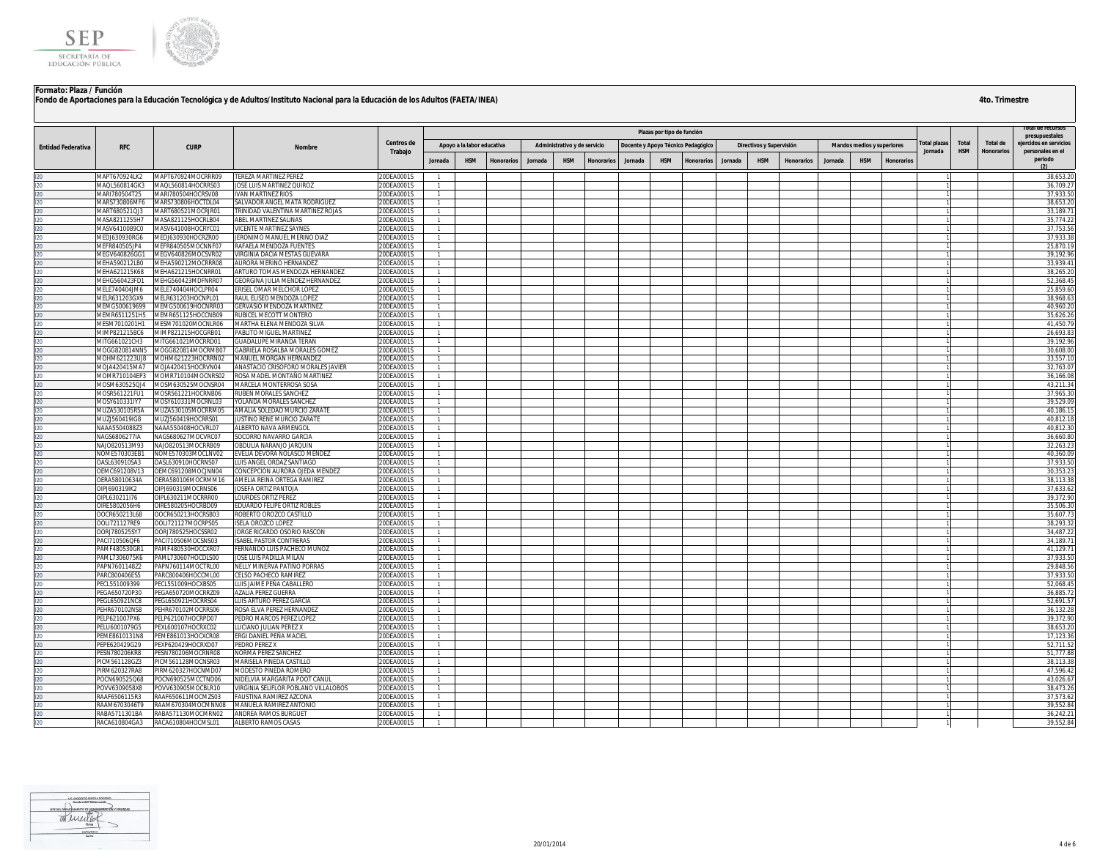

| Plazas por tipo de función<br>presupuestales<br><b>Centros de</b><br>otal plazas<br>Total<br>Total de<br>eiercidos en servicio<br>Apoyo a la labor educativa<br>Administrativo y de servicio<br>Docente y Apoyo Técnico Pedagógico<br>Directivos y Supervisión<br>Mandos medios y superiores<br><b>RFC</b><br><b>CURP</b><br><b>Entidad Federativa</b><br><b>Nombre</b><br><b>HSM</b><br>Trabajo<br>Jornada<br><b>Honorarios</b><br>personales en el<br>periodo<br><b>HSM</b><br>Jornada<br><b>HSM</b><br><b>HSM</b><br>Jornada<br><b>HSM</b><br><b>HSM</b><br>Jornada<br><b>Honorarios</b><br><b>Honorarios</b><br>Jornada<br><b>Honorarios</b><br><b>Honorarios</b><br>Jornada<br>Honorarios<br>(2)<br>MAPT670924MOCRRR09<br><b>TEREZA MARTINEZ PEREZ</b><br>20DEA0001S<br>38,653.20<br>MAPT670924LK2<br>MAOI 560814GK3<br>MAQL560814HOCRRS03<br>JOSE LUIS MARTINEZ QUIROZ<br>20DEA0001S<br>36.709.2<br>$\overline{1}$<br>37,933.50<br>$\overline{1}$<br>MARI780504T25<br>MARI780504HOCRSV08<br><b>IVAN MARTINEZ RIOS</b><br>20DEA0001S<br>38,653.2<br>MARS730806MF6<br>MARS730806HOCTDL04<br>SALVADOR ANGEL MATA RODRIGUEZ<br>20DEA0001S<br>120<br>RINIDAD VALENTINA MARTINEZ ROJAS<br>20DEA0001S<br>33.189.7<br>ART680521QJ3<br>MART680521MOCRJR01<br>$\mathbf{1}$<br>120<br>MASA821125HOCRLB04<br>ABEL MARTINEZ SALINAS<br>20DEA0001S<br>35,774.22<br>MASA8211255H7<br>$\mathbf{1}$<br>120<br>37,753.56<br>20DEA0001S<br>MASV6410089C0<br>MASV641008HOCRYC01<br>VICENTE MARTINEZ SAYNES<br>120<br>37.933.38<br>MEDJ630930RG6<br>MEDJ630930HOCRZR00<br>JERONIMO MANUEL MERINO DIAZ<br>20DEA0001S<br>120<br>MEFR840505JP4<br>RAFAELA MENDOZA FUENTES<br>20DEA0001S<br>25,870.1<br>MEFR840505MOCNNF07<br>$\overline{1}$<br>l20<br>l20<br>MEGV640826GG1<br>MEGV640826MOCSVR02<br><b>VIRGINIA DACIA MESTAS GUEVARA</b><br>20DEA0001S<br>39,192.96<br>$\mathbf{1}$<br>33,939.4<br>AURORA MERINO HERNANDEZ<br>20DEA0001S<br>$\mathbf{1}$<br>MEHA590212LB0<br>MEHA590212MOCRRR08<br>120<br>//EHA621215K68<br>MEHA621215HOCNRR01<br>ARTURO TOMAS MENDOZA HERNANDEZ<br>20DEA0001S<br>38,265.2<br>120<br>MEHG560423FD1<br>MEHG560423MDFNRR07<br>GEORGINA JULIA MENDEZ HERNANDEZ<br>20DEA0001S<br>52.368.45<br>$\overline{1}$<br>120<br>MELE740404JM6<br>MELE740404HOCLPR04<br>ERISEL OMAR MELCHOR LOPEZ<br>20DEA0001S<br>25,859.60<br>$\mathbf{1}$<br>120<br>38.968.63<br>MELR631203GX9<br>MELR631203HOCNPL01<br>RAUL ELISEO MENDOZA LOPEZ<br>20DEA0001S<br>120<br>MEMG500619699<br>MEMG500619HOCNRR03<br><b>GERVASIO MENDOZA MARTINEZ</b><br>20DEA0001S<br>40,960.20<br>120<br>35,626.2<br>//EMR6511251H5<br>MEMR651125HOCCNB09<br>RUBICEL MECOTT MONTERO<br>20DEA0001S<br><b>JESM7010201H1</b><br>MESM701020MOCNLR06<br><b>MARTHA ELENA MENDOZA SILVA</b><br>20DEA0001S<br>41,450.7<br>$\overline{1}$<br>120<br>26,693.83<br>MIMP821215BC6<br>20DEA0001S<br>MIMP821215HOCGRB01<br>PABLITO MIGUEL MARTINEZ<br>120<br>GUADALUPE MIRANDA TERAN<br>20DEA0001S<br>39.192.96<br>MITG661021CH3<br>MITG661021MOCRRD01<br>$\overline{1}$<br>120<br>30.608.00<br><b>MOGG820814NN5</b><br>MOGG820814MOCRMB07<br>GABRIELA ROSALBA MORALES GOMEZ<br>20DEA0001S<br>$\overline{1}$<br>120<br>33,557.10<br>MOHM621223UJ8<br>MOHM621223HOCRRN02<br>MANUEL MORGAN HERNANDEZ<br>20DEA0001S<br>$\mathbf{1}$<br>120<br>32,763.0<br>MOJA420415MA7<br>MOJA420415HOCRVN04<br>ANASTACIO CRISOFORO MORALES JAVIER<br>20DEA0001S<br><b>MOMR710104EP3</b><br>ROSA MADEL MONTAÑO MARTINEZ<br>20DEA0001S<br>36,166.0<br>MOMR710104MOCNRS02<br>120<br>MOSM630525QJ4<br>MOSM630525MOCNSR04<br>MARCELA MONTERROSA SOSA<br>20DEA0001S<br>43,211.3<br>$\mathbf{1}$<br>37,965.30<br>MOSR561221FU1<br>MOSR561221HOCRNB06<br>RUBEN MORALES SANCHEZ<br>20DEA0001S<br>$\mathbf{1}$<br>MOSY610331IY7<br>MOSY610331MOCRNL03<br><b>OLANDA MORALES SANCHEZ</b><br>20DEA0001S<br>39,529.09<br>$\overline{1}$<br>120<br>ODEA0001S<br>40.186.1<br><b>AUZA530105R5A</b><br>MUZA530105MOCRRM05<br>AMALIA SOLEDAD MURCIO ZARATE<br>$\overline{1}$<br>120<br>AUZJ560419IG8<br>MUZJ560419HOCRRS01<br><b>JUSTINO RENE MURCIO ZARATE</b><br>20DEA0001S<br>40.812.18<br>$\mathbf{1}$<br>VAAA5504088Z3<br>NAAA550408HOCVRL07<br>ALBERTO NAVA ARMENGOL<br>40,812.30<br>20DEA0001S<br>$\mathbf{1}$<br>36,660.80<br>NAGS6806277IA<br>NAGS680627MOCVRC07<br>SOCORRO NAVARRO GARCIA<br>20DEA0001S<br>120<br>NAJO820513M93<br>NAJO820513MOCRRB09<br>OBDULIA NARANJO JARQUIN<br>20DEA0001S<br>32,263.2<br>I20<br>I20<br>40,360.09<br><b>VOME570303EB1</b><br>NOME570303MOCLNV02<br>VELIA DEVORA NOLASCO MENDEZ<br>20DEA0001S<br>$\mathbf{1}$<br>37,933.50<br>DASL630910SA3<br>OASL630910HOCRNS07<br>UIS ANGEL ORDAZ SANTIAGO<br>20DEA0001S<br>120<br>30,353.23<br>DEMC691208V13<br>DEMC691208MOCJNN04<br>CONCEPCION AURORA OJEDA MENDEZ<br>20DEA0001S<br>$\mathbf{1}$<br>120<br>38.113.38<br>DERA58010634A<br>DERA580106MOCRMM16<br>AMELIA REINA ORTEGA RAMIREZ<br>20DEA0001S<br>$\overline{1}$<br>120<br>DIPJ690319IK2<br>20DEA0001S<br>37,633.62<br>OIPJ690319MOCRNS06<br>JOSEFA ORTIZ PANTOJA<br>$\mathbf{1}$<br>39,372.90<br>120<br>OIPL630211I76<br>OIPL630211MOCRRR00<br>LOURDES ORTIZ PEREZ<br>20DEA0001S<br>$\mathbf{1}$<br>l20<br>l20<br>35,506.30<br>DIRE5802056H6<br>OIRE580205HOCRBD09<br>EDUARDO FELIPE ORTIZ ROBLES<br>20DEA0001S<br>35,607.7<br>OCR650213L68<br>OOCR650213HOCRSB03<br>ROBERTO OROZCO CASTILLO<br>20DEA0001S<br>$\overline{1}$<br>I20<br>I20<br>OOL1721127MOCRPS05<br>20DEA0001S<br>38.293.3<br>OOLI721127RE9<br>ISELA OROZCO LOPEZ<br>$\mathbf{1}$<br>34,487.2<br>OORJ780525HOCSSR02<br>ORGE RICARDO OSORIO RASCON<br>20DEA0001S<br>OORJ780525SY7<br>120<br><b>ISABEL PASTOR CONTRERAS</b><br>0DEA0001S<br>34,189.7<br>ACI710506QF6<br>PACI710506MOCSNS03<br>120<br>AMF480530GR1<br>PAMF480530HOCCXR07<br>FERNANDO LUIS PACHECO MUÑOZ<br>20DEA0001S<br>41.129.71<br>$\mathbf{1}$<br>120<br>AML7306075K6<br>PAML730607HOCDLS00<br>JOSE LUIS PADILLA MILAN<br>20DEA0001S<br>37.933.50<br>$\mathbf{1}$<br>120<br>NELLY MINERVA PATIÑO PORRAS<br>29.848.56<br>PAPN7601148Z2<br>PAPN760114MOCTRL00<br>20DEA0001S<br>120<br>ARC800406ES5<br>PARC800406HOCCML00<br>CELSO PACHECO RAMIREZ<br>20DEA0001S<br>37.933.50<br>120<br>ECL551009399<br>PECL551009HOCXBS05<br>UIS JAIME PEÑA CABALLERO<br>20DEA0001S<br>52,068.4<br>$\mathbf{1}$<br>120<br>PEGA650720MOCRRZ09<br>36,885.72<br>EGA650720P30<br>AZALIA PEREZ GUERRA<br>20DEA0001S<br>$\overline{1}$<br>20DEA0001S<br>52,691.5<br>PEGL650921NC8<br>PEGL650921HOCRRS04<br>LUIS ARTURO PEREZ GARCIA<br>120<br>ROSA ELVA PEREZ HERNANDEZ<br>20DEA0001S<br>36,132.2<br>EHR670102NS8<br>PEHR670102MOCRRS06<br>120<br>ELP621007PX6<br>PELP621007HOCRPD07<br>PEDRO MARCOS PEREZ LOPEZ<br>20DEA0001S<br>39,372.90<br>$\mathbf{1}$<br>38,653.20<br>120<br>LUCIANO JULIAN PEREZ X<br>PELU6001079G5<br>PEXL600107HOCRXC02<br>20DEA0001S<br>$\mathbf{1}$<br>120<br>17.123.36<br>PEME8610131N8<br>PEME861013HOCXCR08<br>ERGI DANIEL PEÑA MACIEL<br>20DEA0001S<br>EPE620429G29<br>PEXP620429HOCRXD07<br>PEDRO PEREZ X<br>20DEA0001S<br>52,711.5<br>120<br>PESN780206KR8<br>PESN780206MOCRNR08<br><b>VORMA PEREZ SANCHEZ</b><br>20DEA0001S<br>51,777.8<br>$\mathbf{1}$<br>38,113.38<br>PICM561128GZ3<br>PICM561128MOCNSR03<br>MARISELA PINEDA CASTILLO<br>$\mathbf{1}$<br>20DEA0001S<br>47,596.42<br>IRM620327RA8<br>PIRM620327HOCNMD07<br>MODESTO PINEDA ROMERO<br>20DEA0001S<br>120<br>OCN690525Q68<br>NIDELVIA MARGARITA POOT CANUL<br>20DEA0001S<br>43,026.6<br>POCN690525MCCTND06<br>$\mathbf{1}$<br>OVV6309058X8<br>POVV630905MOCBLR10<br><b>IRGINIA SELIFLOR POBLANO VILLALOBOS</b><br>20DEA0001S<br>38.473.26<br>$\overline{1}$<br>20DEA0001S<br>37,573.62<br>RAAF6506115R3<br>RAAF650611MOCMZS03<br>FAUSTINA RAMIREZ AZCONA<br>$\mathbf{1}$<br>RAAM6703046T9<br>RAAM670304MOCMNN08<br>MANUELA RAMIREZ ANTONIO<br>20DEA0001S<br>39.552.84<br>RABA5711301BA<br>RABA571130MOCMRN02<br><b>ANDREA RAMOS BURGUET</b><br>20DEA0001S<br>36,242.2<br>120<br>RACA610804GA3 RACA610804HOCMSL01<br><b>ALBERTO RAMOS CASAS</b><br>20DEA0001S<br>39,552.84<br>$\overline{1}$ |  |  |  |  |  |  |  |  |  |  |  | LOTAL DE L'ECULSOS |
|------------------------------------------------------------------------------------------------------------------------------------------------------------------------------------------------------------------------------------------------------------------------------------------------------------------------------------------------------------------------------------------------------------------------------------------------------------------------------------------------------------------------------------------------------------------------------------------------------------------------------------------------------------------------------------------------------------------------------------------------------------------------------------------------------------------------------------------------------------------------------------------------------------------------------------------------------------------------------------------------------------------------------------------------------------------------------------------------------------------------------------------------------------------------------------------------------------------------------------------------------------------------------------------------------------------------------------------------------------------------------------------------------------------------------------------------------------------------------------------------------------------------------------------------------------------------------------------------------------------------------------------------------------------------------------------------------------------------------------------------------------------------------------------------------------------------------------------------------------------------------------------------------------------------------------------------------------------------------------------------------------------------------------------------------------------------------------------------------------------------------------------------------------------------------------------------------------------------------------------------------------------------------------------------------------------------------------------------------------------------------------------------------------------------------------------------------------------------------------------------------------------------------------------------------------------------------------------------------------------------------------------------------------------------------------------------------------------------------------------------------------------------------------------------------------------------------------------------------------------------------------------------------------------------------------------------------------------------------------------------------------------------------------------------------------------------------------------------------------------------------------------------------------------------------------------------------------------------------------------------------------------------------------------------------------------------------------------------------------------------------------------------------------------------------------------------------------------------------------------------------------------------------------------------------------------------------------------------------------------------------------------------------------------------------------------------------------------------------------------------------------------------------------------------------------------------------------------------------------------------------------------------------------------------------------------------------------------------------------------------------------------------------------------------------------------------------------------------------------------------------------------------------------------------------------------------------------------------------------------------------------------------------------------------------------------------------------------------------------------------------------------------------------------------------------------------------------------------------------------------------------------------------------------------------------------------------------------------------------------------------------------------------------------------------------------------------------------------------------------------------------------------------------------------------------------------------------------------------------------------------------------------------------------------------------------------------------------------------------------------------------------------------------------------------------------------------------------------------------------------------------------------------------------------------------------------------------------------------------------------------------------------------------------------------------------------------------------------------------------------------------------------------------------------------------------------------------------------------------------------------------------------------------------------------------------------------------------------------------------------------------------------------------------------------------------------------------------------------------------------------------------------------------------------------------------------------------------------------------------------------------------------------------------------------------------------------------------------------------------------------------------------------------------------------------------------------------------------------------------------------------------------------------------------------------------------------------------------------------------------------------------------------------------------------------------------------------------------------------------------------------------------------------------------------------------------------------------------------------------------------------------------------------------------------------------------------------------------------------------------------------------------------------------------------------------------------------------------------------------------------------------------------------------------------------------------------------------------------------------------------------------------------------------------------------------------------------------------------------------------------------------------------------------------------------------------------------------------------------------------------------------------------------------------------------------------------------------------------------------------------------------------------------------------------------------------------------------------------------------------------------------------------------------------------------------------------------------------------------------------------------------------------------------------------------------------------------------------------------------------------------------------------------------------------------------------------------------------------------------------------------------------------------------------------------------------------------------------------------------------------------------------------------------------------------------------------------------------------------------------------------------------------------------------------------------|--|--|--|--|--|--|--|--|--|--|--|--------------------|
|                                                                                                                                                                                                                                                                                                                                                                                                                                                                                                                                                                                                                                                                                                                                                                                                                                                                                                                                                                                                                                                                                                                                                                                                                                                                                                                                                                                                                                                                                                                                                                                                                                                                                                                                                                                                                                                                                                                                                                                                                                                                                                                                                                                                                                                                                                                                                                                                                                                                                                                                                                                                                                                                                                                                                                                                                                                                                                                                                                                                                                                                                                                                                                                                                                                                                                                                                                                                                                                                                                                                                                                                                                                                                                                                                                                                                                                                                                                                                                                                                                                                                                                                                                                                                                                                                                                                                                                                                                                                                                                                                                                                                                                                                                                                                                                                                                                                                                                                                                                                                                                                                                                                                                                                                                                                                                                                                                                                                                                                                                                                                                                                                                                                                                                                                                                                                                                                                                                                                                                                                                                                                                                                                                                                                                                                                                                                                                                                                                                                                                                                                                                                                                                                                                                                                                                                                                                                                                                                                                                                                                                                                                                                                                                                                                                                                                                                                                                                                                                                                                                                                                                                                                                                                                                                                                                                                                                                                                                                                                                                                                                                  |  |  |  |  |  |  |  |  |  |  |  |                    |
|                                                                                                                                                                                                                                                                                                                                                                                                                                                                                                                                                                                                                                                                                                                                                                                                                                                                                                                                                                                                                                                                                                                                                                                                                                                                                                                                                                                                                                                                                                                                                                                                                                                                                                                                                                                                                                                                                                                                                                                                                                                                                                                                                                                                                                                                                                                                                                                                                                                                                                                                                                                                                                                                                                                                                                                                                                                                                                                                                                                                                                                                                                                                                                                                                                                                                                                                                                                                                                                                                                                                                                                                                                                                                                                                                                                                                                                                                                                                                                                                                                                                                                                                                                                                                                                                                                                                                                                                                                                                                                                                                                                                                                                                                                                                                                                                                                                                                                                                                                                                                                                                                                                                                                                                                                                                                                                                                                                                                                                                                                                                                                                                                                                                                                                                                                                                                                                                                                                                                                                                                                                                                                                                                                                                                                                                                                                                                                                                                                                                                                                                                                                                                                                                                                                                                                                                                                                                                                                                                                                                                                                                                                                                                                                                                                                                                                                                                                                                                                                                                                                                                                                                                                                                                                                                                                                                                                                                                                                                                                                                                                                                  |  |  |  |  |  |  |  |  |  |  |  |                    |
|                                                                                                                                                                                                                                                                                                                                                                                                                                                                                                                                                                                                                                                                                                                                                                                                                                                                                                                                                                                                                                                                                                                                                                                                                                                                                                                                                                                                                                                                                                                                                                                                                                                                                                                                                                                                                                                                                                                                                                                                                                                                                                                                                                                                                                                                                                                                                                                                                                                                                                                                                                                                                                                                                                                                                                                                                                                                                                                                                                                                                                                                                                                                                                                                                                                                                                                                                                                                                                                                                                                                                                                                                                                                                                                                                                                                                                                                                                                                                                                                                                                                                                                                                                                                                                                                                                                                                                                                                                                                                                                                                                                                                                                                                                                                                                                                                                                                                                                                                                                                                                                                                                                                                                                                                                                                                                                                                                                                                                                                                                                                                                                                                                                                                                                                                                                                                                                                                                                                                                                                                                                                                                                                                                                                                                                                                                                                                                                                                                                                                                                                                                                                                                                                                                                                                                                                                                                                                                                                                                                                                                                                                                                                                                                                                                                                                                                                                                                                                                                                                                                                                                                                                                                                                                                                                                                                                                                                                                                                                                                                                                                                  |  |  |  |  |  |  |  |  |  |  |  |                    |
|                                                                                                                                                                                                                                                                                                                                                                                                                                                                                                                                                                                                                                                                                                                                                                                                                                                                                                                                                                                                                                                                                                                                                                                                                                                                                                                                                                                                                                                                                                                                                                                                                                                                                                                                                                                                                                                                                                                                                                                                                                                                                                                                                                                                                                                                                                                                                                                                                                                                                                                                                                                                                                                                                                                                                                                                                                                                                                                                                                                                                                                                                                                                                                                                                                                                                                                                                                                                                                                                                                                                                                                                                                                                                                                                                                                                                                                                                                                                                                                                                                                                                                                                                                                                                                                                                                                                                                                                                                                                                                                                                                                                                                                                                                                                                                                                                                                                                                                                                                                                                                                                                                                                                                                                                                                                                                                                                                                                                                                                                                                                                                                                                                                                                                                                                                                                                                                                                                                                                                                                                                                                                                                                                                                                                                                                                                                                                                                                                                                                                                                                                                                                                                                                                                                                                                                                                                                                                                                                                                                                                                                                                                                                                                                                                                                                                                                                                                                                                                                                                                                                                                                                                                                                                                                                                                                                                                                                                                                                                                                                                                                                  |  |  |  |  |  |  |  |  |  |  |  |                    |
|                                                                                                                                                                                                                                                                                                                                                                                                                                                                                                                                                                                                                                                                                                                                                                                                                                                                                                                                                                                                                                                                                                                                                                                                                                                                                                                                                                                                                                                                                                                                                                                                                                                                                                                                                                                                                                                                                                                                                                                                                                                                                                                                                                                                                                                                                                                                                                                                                                                                                                                                                                                                                                                                                                                                                                                                                                                                                                                                                                                                                                                                                                                                                                                                                                                                                                                                                                                                                                                                                                                                                                                                                                                                                                                                                                                                                                                                                                                                                                                                                                                                                                                                                                                                                                                                                                                                                                                                                                                                                                                                                                                                                                                                                                                                                                                                                                                                                                                                                                                                                                                                                                                                                                                                                                                                                                                                                                                                                                                                                                                                                                                                                                                                                                                                                                                                                                                                                                                                                                                                                                                                                                                                                                                                                                                                                                                                                                                                                                                                                                                                                                                                                                                                                                                                                                                                                                                                                                                                                                                                                                                                                                                                                                                                                                                                                                                                                                                                                                                                                                                                                                                                                                                                                                                                                                                                                                                                                                                                                                                                                                                                  |  |  |  |  |  |  |  |  |  |  |  |                    |
|                                                                                                                                                                                                                                                                                                                                                                                                                                                                                                                                                                                                                                                                                                                                                                                                                                                                                                                                                                                                                                                                                                                                                                                                                                                                                                                                                                                                                                                                                                                                                                                                                                                                                                                                                                                                                                                                                                                                                                                                                                                                                                                                                                                                                                                                                                                                                                                                                                                                                                                                                                                                                                                                                                                                                                                                                                                                                                                                                                                                                                                                                                                                                                                                                                                                                                                                                                                                                                                                                                                                                                                                                                                                                                                                                                                                                                                                                                                                                                                                                                                                                                                                                                                                                                                                                                                                                                                                                                                                                                                                                                                                                                                                                                                                                                                                                                                                                                                                                                                                                                                                                                                                                                                                                                                                                                                                                                                                                                                                                                                                                                                                                                                                                                                                                                                                                                                                                                                                                                                                                                                                                                                                                                                                                                                                                                                                                                                                                                                                                                                                                                                                                                                                                                                                                                                                                                                                                                                                                                                                                                                                                                                                                                                                                                                                                                                                                                                                                                                                                                                                                                                                                                                                                                                                                                                                                                                                                                                                                                                                                                                                  |  |  |  |  |  |  |  |  |  |  |  |                    |
|                                                                                                                                                                                                                                                                                                                                                                                                                                                                                                                                                                                                                                                                                                                                                                                                                                                                                                                                                                                                                                                                                                                                                                                                                                                                                                                                                                                                                                                                                                                                                                                                                                                                                                                                                                                                                                                                                                                                                                                                                                                                                                                                                                                                                                                                                                                                                                                                                                                                                                                                                                                                                                                                                                                                                                                                                                                                                                                                                                                                                                                                                                                                                                                                                                                                                                                                                                                                                                                                                                                                                                                                                                                                                                                                                                                                                                                                                                                                                                                                                                                                                                                                                                                                                                                                                                                                                                                                                                                                                                                                                                                                                                                                                                                                                                                                                                                                                                                                                                                                                                                                                                                                                                                                                                                                                                                                                                                                                                                                                                                                                                                                                                                                                                                                                                                                                                                                                                                                                                                                                                                                                                                                                                                                                                                                                                                                                                                                                                                                                                                                                                                                                                                                                                                                                                                                                                                                                                                                                                                                                                                                                                                                                                                                                                                                                                                                                                                                                                                                                                                                                                                                                                                                                                                                                                                                                                                                                                                                                                                                                                                                  |  |  |  |  |  |  |  |  |  |  |  |                    |
|                                                                                                                                                                                                                                                                                                                                                                                                                                                                                                                                                                                                                                                                                                                                                                                                                                                                                                                                                                                                                                                                                                                                                                                                                                                                                                                                                                                                                                                                                                                                                                                                                                                                                                                                                                                                                                                                                                                                                                                                                                                                                                                                                                                                                                                                                                                                                                                                                                                                                                                                                                                                                                                                                                                                                                                                                                                                                                                                                                                                                                                                                                                                                                                                                                                                                                                                                                                                                                                                                                                                                                                                                                                                                                                                                                                                                                                                                                                                                                                                                                                                                                                                                                                                                                                                                                                                                                                                                                                                                                                                                                                                                                                                                                                                                                                                                                                                                                                                                                                                                                                                                                                                                                                                                                                                                                                                                                                                                                                                                                                                                                                                                                                                                                                                                                                                                                                                                                                                                                                                                                                                                                                                                                                                                                                                                                                                                                                                                                                                                                                                                                                                                                                                                                                                                                                                                                                                                                                                                                                                                                                                                                                                                                                                                                                                                                                                                                                                                                                                                                                                                                                                                                                                                                                                                                                                                                                                                                                                                                                                                                                                  |  |  |  |  |  |  |  |  |  |  |  |                    |
|                                                                                                                                                                                                                                                                                                                                                                                                                                                                                                                                                                                                                                                                                                                                                                                                                                                                                                                                                                                                                                                                                                                                                                                                                                                                                                                                                                                                                                                                                                                                                                                                                                                                                                                                                                                                                                                                                                                                                                                                                                                                                                                                                                                                                                                                                                                                                                                                                                                                                                                                                                                                                                                                                                                                                                                                                                                                                                                                                                                                                                                                                                                                                                                                                                                                                                                                                                                                                                                                                                                                                                                                                                                                                                                                                                                                                                                                                                                                                                                                                                                                                                                                                                                                                                                                                                                                                                                                                                                                                                                                                                                                                                                                                                                                                                                                                                                                                                                                                                                                                                                                                                                                                                                                                                                                                                                                                                                                                                                                                                                                                                                                                                                                                                                                                                                                                                                                                                                                                                                                                                                                                                                                                                                                                                                                                                                                                                                                                                                                                                                                                                                                                                                                                                                                                                                                                                                                                                                                                                                                                                                                                                                                                                                                                                                                                                                                                                                                                                                                                                                                                                                                                                                                                                                                                                                                                                                                                                                                                                                                                                                                  |  |  |  |  |  |  |  |  |  |  |  |                    |
|                                                                                                                                                                                                                                                                                                                                                                                                                                                                                                                                                                                                                                                                                                                                                                                                                                                                                                                                                                                                                                                                                                                                                                                                                                                                                                                                                                                                                                                                                                                                                                                                                                                                                                                                                                                                                                                                                                                                                                                                                                                                                                                                                                                                                                                                                                                                                                                                                                                                                                                                                                                                                                                                                                                                                                                                                                                                                                                                                                                                                                                                                                                                                                                                                                                                                                                                                                                                                                                                                                                                                                                                                                                                                                                                                                                                                                                                                                                                                                                                                                                                                                                                                                                                                                                                                                                                                                                                                                                                                                                                                                                                                                                                                                                                                                                                                                                                                                                                                                                                                                                                                                                                                                                                                                                                                                                                                                                                                                                                                                                                                                                                                                                                                                                                                                                                                                                                                                                                                                                                                                                                                                                                                                                                                                                                                                                                                                                                                                                                                                                                                                                                                                                                                                                                                                                                                                                                                                                                                                                                                                                                                                                                                                                                                                                                                                                                                                                                                                                                                                                                                                                                                                                                                                                                                                                                                                                                                                                                                                                                                                                                  |  |  |  |  |  |  |  |  |  |  |  |                    |
|                                                                                                                                                                                                                                                                                                                                                                                                                                                                                                                                                                                                                                                                                                                                                                                                                                                                                                                                                                                                                                                                                                                                                                                                                                                                                                                                                                                                                                                                                                                                                                                                                                                                                                                                                                                                                                                                                                                                                                                                                                                                                                                                                                                                                                                                                                                                                                                                                                                                                                                                                                                                                                                                                                                                                                                                                                                                                                                                                                                                                                                                                                                                                                                                                                                                                                                                                                                                                                                                                                                                                                                                                                                                                                                                                                                                                                                                                                                                                                                                                                                                                                                                                                                                                                                                                                                                                                                                                                                                                                                                                                                                                                                                                                                                                                                                                                                                                                                                                                                                                                                                                                                                                                                                                                                                                                                                                                                                                                                                                                                                                                                                                                                                                                                                                                                                                                                                                                                                                                                                                                                                                                                                                                                                                                                                                                                                                                                                                                                                                                                                                                                                                                                                                                                                                                                                                                                                                                                                                                                                                                                                                                                                                                                                                                                                                                                                                                                                                                                                                                                                                                                                                                                                                                                                                                                                                                                                                                                                                                                                                                                                  |  |  |  |  |  |  |  |  |  |  |  |                    |
|                                                                                                                                                                                                                                                                                                                                                                                                                                                                                                                                                                                                                                                                                                                                                                                                                                                                                                                                                                                                                                                                                                                                                                                                                                                                                                                                                                                                                                                                                                                                                                                                                                                                                                                                                                                                                                                                                                                                                                                                                                                                                                                                                                                                                                                                                                                                                                                                                                                                                                                                                                                                                                                                                                                                                                                                                                                                                                                                                                                                                                                                                                                                                                                                                                                                                                                                                                                                                                                                                                                                                                                                                                                                                                                                                                                                                                                                                                                                                                                                                                                                                                                                                                                                                                                                                                                                                                                                                                                                                                                                                                                                                                                                                                                                                                                                                                                                                                                                                                                                                                                                                                                                                                                                                                                                                                                                                                                                                                                                                                                                                                                                                                                                                                                                                                                                                                                                                                                                                                                                                                                                                                                                                                                                                                                                                                                                                                                                                                                                                                                                                                                                                                                                                                                                                                                                                                                                                                                                                                                                                                                                                                                                                                                                                                                                                                                                                                                                                                                                                                                                                                                                                                                                                                                                                                                                                                                                                                                                                                                                                                                                  |  |  |  |  |  |  |  |  |  |  |  |                    |
|                                                                                                                                                                                                                                                                                                                                                                                                                                                                                                                                                                                                                                                                                                                                                                                                                                                                                                                                                                                                                                                                                                                                                                                                                                                                                                                                                                                                                                                                                                                                                                                                                                                                                                                                                                                                                                                                                                                                                                                                                                                                                                                                                                                                                                                                                                                                                                                                                                                                                                                                                                                                                                                                                                                                                                                                                                                                                                                                                                                                                                                                                                                                                                                                                                                                                                                                                                                                                                                                                                                                                                                                                                                                                                                                                                                                                                                                                                                                                                                                                                                                                                                                                                                                                                                                                                                                                                                                                                                                                                                                                                                                                                                                                                                                                                                                                                                                                                                                                                                                                                                                                                                                                                                                                                                                                                                                                                                                                                                                                                                                                                                                                                                                                                                                                                                                                                                                                                                                                                                                                                                                                                                                                                                                                                                                                                                                                                                                                                                                                                                                                                                                                                                                                                                                                                                                                                                                                                                                                                                                                                                                                                                                                                                                                                                                                                                                                                                                                                                                                                                                                                                                                                                                                                                                                                                                                                                                                                                                                                                                                                                                  |  |  |  |  |  |  |  |  |  |  |  |                    |
|                                                                                                                                                                                                                                                                                                                                                                                                                                                                                                                                                                                                                                                                                                                                                                                                                                                                                                                                                                                                                                                                                                                                                                                                                                                                                                                                                                                                                                                                                                                                                                                                                                                                                                                                                                                                                                                                                                                                                                                                                                                                                                                                                                                                                                                                                                                                                                                                                                                                                                                                                                                                                                                                                                                                                                                                                                                                                                                                                                                                                                                                                                                                                                                                                                                                                                                                                                                                                                                                                                                                                                                                                                                                                                                                                                                                                                                                                                                                                                                                                                                                                                                                                                                                                                                                                                                                                                                                                                                                                                                                                                                                                                                                                                                                                                                                                                                                                                                                                                                                                                                                                                                                                                                                                                                                                                                                                                                                                                                                                                                                                                                                                                                                                                                                                                                                                                                                                                                                                                                                                                                                                                                                                                                                                                                                                                                                                                                                                                                                                                                                                                                                                                                                                                                                                                                                                                                                                                                                                                                                                                                                                                                                                                                                                                                                                                                                                                                                                                                                                                                                                                                                                                                                                                                                                                                                                                                                                                                                                                                                                                                                  |  |  |  |  |  |  |  |  |  |  |  |                    |
|                                                                                                                                                                                                                                                                                                                                                                                                                                                                                                                                                                                                                                                                                                                                                                                                                                                                                                                                                                                                                                                                                                                                                                                                                                                                                                                                                                                                                                                                                                                                                                                                                                                                                                                                                                                                                                                                                                                                                                                                                                                                                                                                                                                                                                                                                                                                                                                                                                                                                                                                                                                                                                                                                                                                                                                                                                                                                                                                                                                                                                                                                                                                                                                                                                                                                                                                                                                                                                                                                                                                                                                                                                                                                                                                                                                                                                                                                                                                                                                                                                                                                                                                                                                                                                                                                                                                                                                                                                                                                                                                                                                                                                                                                                                                                                                                                                                                                                                                                                                                                                                                                                                                                                                                                                                                                                                                                                                                                                                                                                                                                                                                                                                                                                                                                                                                                                                                                                                                                                                                                                                                                                                                                                                                                                                                                                                                                                                                                                                                                                                                                                                                                                                                                                                                                                                                                                                                                                                                                                                                                                                                                                                                                                                                                                                                                                                                                                                                                                                                                                                                                                                                                                                                                                                                                                                                                                                                                                                                                                                                                                                                  |  |  |  |  |  |  |  |  |  |  |  |                    |
|                                                                                                                                                                                                                                                                                                                                                                                                                                                                                                                                                                                                                                                                                                                                                                                                                                                                                                                                                                                                                                                                                                                                                                                                                                                                                                                                                                                                                                                                                                                                                                                                                                                                                                                                                                                                                                                                                                                                                                                                                                                                                                                                                                                                                                                                                                                                                                                                                                                                                                                                                                                                                                                                                                                                                                                                                                                                                                                                                                                                                                                                                                                                                                                                                                                                                                                                                                                                                                                                                                                                                                                                                                                                                                                                                                                                                                                                                                                                                                                                                                                                                                                                                                                                                                                                                                                                                                                                                                                                                                                                                                                                                                                                                                                                                                                                                                                                                                                                                                                                                                                                                                                                                                                                                                                                                                                                                                                                                                                                                                                                                                                                                                                                                                                                                                                                                                                                                                                                                                                                                                                                                                                                                                                                                                                                                                                                                                                                                                                                                                                                                                                                                                                                                                                                                                                                                                                                                                                                                                                                                                                                                                                                                                                                                                                                                                                                                                                                                                                                                                                                                                                                                                                                                                                                                                                                                                                                                                                                                                                                                                                                  |  |  |  |  |  |  |  |  |  |  |  |                    |
|                                                                                                                                                                                                                                                                                                                                                                                                                                                                                                                                                                                                                                                                                                                                                                                                                                                                                                                                                                                                                                                                                                                                                                                                                                                                                                                                                                                                                                                                                                                                                                                                                                                                                                                                                                                                                                                                                                                                                                                                                                                                                                                                                                                                                                                                                                                                                                                                                                                                                                                                                                                                                                                                                                                                                                                                                                                                                                                                                                                                                                                                                                                                                                                                                                                                                                                                                                                                                                                                                                                                                                                                                                                                                                                                                                                                                                                                                                                                                                                                                                                                                                                                                                                                                                                                                                                                                                                                                                                                                                                                                                                                                                                                                                                                                                                                                                                                                                                                                                                                                                                                                                                                                                                                                                                                                                                                                                                                                                                                                                                                                                                                                                                                                                                                                                                                                                                                                                                                                                                                                                                                                                                                                                                                                                                                                                                                                                                                                                                                                                                                                                                                                                                                                                                                                                                                                                                                                                                                                                                                                                                                                                                                                                                                                                                                                                                                                                                                                                                                                                                                                                                                                                                                                                                                                                                                                                                                                                                                                                                                                                                                  |  |  |  |  |  |  |  |  |  |  |  |                    |
|                                                                                                                                                                                                                                                                                                                                                                                                                                                                                                                                                                                                                                                                                                                                                                                                                                                                                                                                                                                                                                                                                                                                                                                                                                                                                                                                                                                                                                                                                                                                                                                                                                                                                                                                                                                                                                                                                                                                                                                                                                                                                                                                                                                                                                                                                                                                                                                                                                                                                                                                                                                                                                                                                                                                                                                                                                                                                                                                                                                                                                                                                                                                                                                                                                                                                                                                                                                                                                                                                                                                                                                                                                                                                                                                                                                                                                                                                                                                                                                                                                                                                                                                                                                                                                                                                                                                                                                                                                                                                                                                                                                                                                                                                                                                                                                                                                                                                                                                                                                                                                                                                                                                                                                                                                                                                                                                                                                                                                                                                                                                                                                                                                                                                                                                                                                                                                                                                                                                                                                                                                                                                                                                                                                                                                                                                                                                                                                                                                                                                                                                                                                                                                                                                                                                                                                                                                                                                                                                                                                                                                                                                                                                                                                                                                                                                                                                                                                                                                                                                                                                                                                                                                                                                                                                                                                                                                                                                                                                                                                                                                                                  |  |  |  |  |  |  |  |  |  |  |  |                    |
|                                                                                                                                                                                                                                                                                                                                                                                                                                                                                                                                                                                                                                                                                                                                                                                                                                                                                                                                                                                                                                                                                                                                                                                                                                                                                                                                                                                                                                                                                                                                                                                                                                                                                                                                                                                                                                                                                                                                                                                                                                                                                                                                                                                                                                                                                                                                                                                                                                                                                                                                                                                                                                                                                                                                                                                                                                                                                                                                                                                                                                                                                                                                                                                                                                                                                                                                                                                                                                                                                                                                                                                                                                                                                                                                                                                                                                                                                                                                                                                                                                                                                                                                                                                                                                                                                                                                                                                                                                                                                                                                                                                                                                                                                                                                                                                                                                                                                                                                                                                                                                                                                                                                                                                                                                                                                                                                                                                                                                                                                                                                                                                                                                                                                                                                                                                                                                                                                                                                                                                                                                                                                                                                                                                                                                                                                                                                                                                                                                                                                                                                                                                                                                                                                                                                                                                                                                                                                                                                                                                                                                                                                                                                                                                                                                                                                                                                                                                                                                                                                                                                                                                                                                                                                                                                                                                                                                                                                                                                                                                                                                                                  |  |  |  |  |  |  |  |  |  |  |  |                    |
|                                                                                                                                                                                                                                                                                                                                                                                                                                                                                                                                                                                                                                                                                                                                                                                                                                                                                                                                                                                                                                                                                                                                                                                                                                                                                                                                                                                                                                                                                                                                                                                                                                                                                                                                                                                                                                                                                                                                                                                                                                                                                                                                                                                                                                                                                                                                                                                                                                                                                                                                                                                                                                                                                                                                                                                                                                                                                                                                                                                                                                                                                                                                                                                                                                                                                                                                                                                                                                                                                                                                                                                                                                                                                                                                                                                                                                                                                                                                                                                                                                                                                                                                                                                                                                                                                                                                                                                                                                                                                                                                                                                                                                                                                                                                                                                                                                                                                                                                                                                                                                                                                                                                                                                                                                                                                                                                                                                                                                                                                                                                                                                                                                                                                                                                                                                                                                                                                                                                                                                                                                                                                                                                                                                                                                                                                                                                                                                                                                                                                                                                                                                                                                                                                                                                                                                                                                                                                                                                                                                                                                                                                                                                                                                                                                                                                                                                                                                                                                                                                                                                                                                                                                                                                                                                                                                                                                                                                                                                                                                                                                                                  |  |  |  |  |  |  |  |  |  |  |  |                    |
|                                                                                                                                                                                                                                                                                                                                                                                                                                                                                                                                                                                                                                                                                                                                                                                                                                                                                                                                                                                                                                                                                                                                                                                                                                                                                                                                                                                                                                                                                                                                                                                                                                                                                                                                                                                                                                                                                                                                                                                                                                                                                                                                                                                                                                                                                                                                                                                                                                                                                                                                                                                                                                                                                                                                                                                                                                                                                                                                                                                                                                                                                                                                                                                                                                                                                                                                                                                                                                                                                                                                                                                                                                                                                                                                                                                                                                                                                                                                                                                                                                                                                                                                                                                                                                                                                                                                                                                                                                                                                                                                                                                                                                                                                                                                                                                                                                                                                                                                                                                                                                                                                                                                                                                                                                                                                                                                                                                                                                                                                                                                                                                                                                                                                                                                                                                                                                                                                                                                                                                                                                                                                                                                                                                                                                                                                                                                                                                                                                                                                                                                                                                                                                                                                                                                                                                                                                                                                                                                                                                                                                                                                                                                                                                                                                                                                                                                                                                                                                                                                                                                                                                                                                                                                                                                                                                                                                                                                                                                                                                                                                                                  |  |  |  |  |  |  |  |  |  |  |  |                    |
|                                                                                                                                                                                                                                                                                                                                                                                                                                                                                                                                                                                                                                                                                                                                                                                                                                                                                                                                                                                                                                                                                                                                                                                                                                                                                                                                                                                                                                                                                                                                                                                                                                                                                                                                                                                                                                                                                                                                                                                                                                                                                                                                                                                                                                                                                                                                                                                                                                                                                                                                                                                                                                                                                                                                                                                                                                                                                                                                                                                                                                                                                                                                                                                                                                                                                                                                                                                                                                                                                                                                                                                                                                                                                                                                                                                                                                                                                                                                                                                                                                                                                                                                                                                                                                                                                                                                                                                                                                                                                                                                                                                                                                                                                                                                                                                                                                                                                                                                                                                                                                                                                                                                                                                                                                                                                                                                                                                                                                                                                                                                                                                                                                                                                                                                                                                                                                                                                                                                                                                                                                                                                                                                                                                                                                                                                                                                                                                                                                                                                                                                                                                                                                                                                                                                                                                                                                                                                                                                                                                                                                                                                                                                                                                                                                                                                                                                                                                                                                                                                                                                                                                                                                                                                                                                                                                                                                                                                                                                                                                                                                                                  |  |  |  |  |  |  |  |  |  |  |  |                    |
|                                                                                                                                                                                                                                                                                                                                                                                                                                                                                                                                                                                                                                                                                                                                                                                                                                                                                                                                                                                                                                                                                                                                                                                                                                                                                                                                                                                                                                                                                                                                                                                                                                                                                                                                                                                                                                                                                                                                                                                                                                                                                                                                                                                                                                                                                                                                                                                                                                                                                                                                                                                                                                                                                                                                                                                                                                                                                                                                                                                                                                                                                                                                                                                                                                                                                                                                                                                                                                                                                                                                                                                                                                                                                                                                                                                                                                                                                                                                                                                                                                                                                                                                                                                                                                                                                                                                                                                                                                                                                                                                                                                                                                                                                                                                                                                                                                                                                                                                                                                                                                                                                                                                                                                                                                                                                                                                                                                                                                                                                                                                                                                                                                                                                                                                                                                                                                                                                                                                                                                                                                                                                                                                                                                                                                                                                                                                                                                                                                                                                                                                                                                                                                                                                                                                                                                                                                                                                                                                                                                                                                                                                                                                                                                                                                                                                                                                                                                                                                                                                                                                                                                                                                                                                                                                                                                                                                                                                                                                                                                                                                                                  |  |  |  |  |  |  |  |  |  |  |  |                    |
|                                                                                                                                                                                                                                                                                                                                                                                                                                                                                                                                                                                                                                                                                                                                                                                                                                                                                                                                                                                                                                                                                                                                                                                                                                                                                                                                                                                                                                                                                                                                                                                                                                                                                                                                                                                                                                                                                                                                                                                                                                                                                                                                                                                                                                                                                                                                                                                                                                                                                                                                                                                                                                                                                                                                                                                                                                                                                                                                                                                                                                                                                                                                                                                                                                                                                                                                                                                                                                                                                                                                                                                                                                                                                                                                                                                                                                                                                                                                                                                                                                                                                                                                                                                                                                                                                                                                                                                                                                                                                                                                                                                                                                                                                                                                                                                                                                                                                                                                                                                                                                                                                                                                                                                                                                                                                                                                                                                                                                                                                                                                                                                                                                                                                                                                                                                                                                                                                                                                                                                                                                                                                                                                                                                                                                                                                                                                                                                                                                                                                                                                                                                                                                                                                                                                                                                                                                                                                                                                                                                                                                                                                                                                                                                                                                                                                                                                                                                                                                                                                                                                                                                                                                                                                                                                                                                                                                                                                                                                                                                                                                                                  |  |  |  |  |  |  |  |  |  |  |  |                    |
|                                                                                                                                                                                                                                                                                                                                                                                                                                                                                                                                                                                                                                                                                                                                                                                                                                                                                                                                                                                                                                                                                                                                                                                                                                                                                                                                                                                                                                                                                                                                                                                                                                                                                                                                                                                                                                                                                                                                                                                                                                                                                                                                                                                                                                                                                                                                                                                                                                                                                                                                                                                                                                                                                                                                                                                                                                                                                                                                                                                                                                                                                                                                                                                                                                                                                                                                                                                                                                                                                                                                                                                                                                                                                                                                                                                                                                                                                                                                                                                                                                                                                                                                                                                                                                                                                                                                                                                                                                                                                                                                                                                                                                                                                                                                                                                                                                                                                                                                                                                                                                                                                                                                                                                                                                                                                                                                                                                                                                                                                                                                                                                                                                                                                                                                                                                                                                                                                                                                                                                                                                                                                                                                                                                                                                                                                                                                                                                                                                                                                                                                                                                                                                                                                                                                                                                                                                                                                                                                                                                                                                                                                                                                                                                                                                                                                                                                                                                                                                                                                                                                                                                                                                                                                                                                                                                                                                                                                                                                                                                                                                                                  |  |  |  |  |  |  |  |  |  |  |  |                    |
|                                                                                                                                                                                                                                                                                                                                                                                                                                                                                                                                                                                                                                                                                                                                                                                                                                                                                                                                                                                                                                                                                                                                                                                                                                                                                                                                                                                                                                                                                                                                                                                                                                                                                                                                                                                                                                                                                                                                                                                                                                                                                                                                                                                                                                                                                                                                                                                                                                                                                                                                                                                                                                                                                                                                                                                                                                                                                                                                                                                                                                                                                                                                                                                                                                                                                                                                                                                                                                                                                                                                                                                                                                                                                                                                                                                                                                                                                                                                                                                                                                                                                                                                                                                                                                                                                                                                                                                                                                                                                                                                                                                                                                                                                                                                                                                                                                                                                                                                                                                                                                                                                                                                                                                                                                                                                                                                                                                                                                                                                                                                                                                                                                                                                                                                                                                                                                                                                                                                                                                                                                                                                                                                                                                                                                                                                                                                                                                                                                                                                                                                                                                                                                                                                                                                                                                                                                                                                                                                                                                                                                                                                                                                                                                                                                                                                                                                                                                                                                                                                                                                                                                                                                                                                                                                                                                                                                                                                                                                                                                                                                                                  |  |  |  |  |  |  |  |  |  |  |  |                    |
|                                                                                                                                                                                                                                                                                                                                                                                                                                                                                                                                                                                                                                                                                                                                                                                                                                                                                                                                                                                                                                                                                                                                                                                                                                                                                                                                                                                                                                                                                                                                                                                                                                                                                                                                                                                                                                                                                                                                                                                                                                                                                                                                                                                                                                                                                                                                                                                                                                                                                                                                                                                                                                                                                                                                                                                                                                                                                                                                                                                                                                                                                                                                                                                                                                                                                                                                                                                                                                                                                                                                                                                                                                                                                                                                                                                                                                                                                                                                                                                                                                                                                                                                                                                                                                                                                                                                                                                                                                                                                                                                                                                                                                                                                                                                                                                                                                                                                                                                                                                                                                                                                                                                                                                                                                                                                                                                                                                                                                                                                                                                                                                                                                                                                                                                                                                                                                                                                                                                                                                                                                                                                                                                                                                                                                                                                                                                                                                                                                                                                                                                                                                                                                                                                                                                                                                                                                                                                                                                                                                                                                                                                                                                                                                                                                                                                                                                                                                                                                                                                                                                                                                                                                                                                                                                                                                                                                                                                                                                                                                                                                                                  |  |  |  |  |  |  |  |  |  |  |  |                    |
|                                                                                                                                                                                                                                                                                                                                                                                                                                                                                                                                                                                                                                                                                                                                                                                                                                                                                                                                                                                                                                                                                                                                                                                                                                                                                                                                                                                                                                                                                                                                                                                                                                                                                                                                                                                                                                                                                                                                                                                                                                                                                                                                                                                                                                                                                                                                                                                                                                                                                                                                                                                                                                                                                                                                                                                                                                                                                                                                                                                                                                                                                                                                                                                                                                                                                                                                                                                                                                                                                                                                                                                                                                                                                                                                                                                                                                                                                                                                                                                                                                                                                                                                                                                                                                                                                                                                                                                                                                                                                                                                                                                                                                                                                                                                                                                                                                                                                                                                                                                                                                                                                                                                                                                                                                                                                                                                                                                                                                                                                                                                                                                                                                                                                                                                                                                                                                                                                                                                                                                                                                                                                                                                                                                                                                                                                                                                                                                                                                                                                                                                                                                                                                                                                                                                                                                                                                                                                                                                                                                                                                                                                                                                                                                                                                                                                                                                                                                                                                                                                                                                                                                                                                                                                                                                                                                                                                                                                                                                                                                                                                                                  |  |  |  |  |  |  |  |  |  |  |  |                    |
|                                                                                                                                                                                                                                                                                                                                                                                                                                                                                                                                                                                                                                                                                                                                                                                                                                                                                                                                                                                                                                                                                                                                                                                                                                                                                                                                                                                                                                                                                                                                                                                                                                                                                                                                                                                                                                                                                                                                                                                                                                                                                                                                                                                                                                                                                                                                                                                                                                                                                                                                                                                                                                                                                                                                                                                                                                                                                                                                                                                                                                                                                                                                                                                                                                                                                                                                                                                                                                                                                                                                                                                                                                                                                                                                                                                                                                                                                                                                                                                                                                                                                                                                                                                                                                                                                                                                                                                                                                                                                                                                                                                                                                                                                                                                                                                                                                                                                                                                                                                                                                                                                                                                                                                                                                                                                                                                                                                                                                                                                                                                                                                                                                                                                                                                                                                                                                                                                                                                                                                                                                                                                                                                                                                                                                                                                                                                                                                                                                                                                                                                                                                                                                                                                                                                                                                                                                                                                                                                                                                                                                                                                                                                                                                                                                                                                                                                                                                                                                                                                                                                                                                                                                                                                                                                                                                                                                                                                                                                                                                                                                                                  |  |  |  |  |  |  |  |  |  |  |  |                    |
|                                                                                                                                                                                                                                                                                                                                                                                                                                                                                                                                                                                                                                                                                                                                                                                                                                                                                                                                                                                                                                                                                                                                                                                                                                                                                                                                                                                                                                                                                                                                                                                                                                                                                                                                                                                                                                                                                                                                                                                                                                                                                                                                                                                                                                                                                                                                                                                                                                                                                                                                                                                                                                                                                                                                                                                                                                                                                                                                                                                                                                                                                                                                                                                                                                                                                                                                                                                                                                                                                                                                                                                                                                                                                                                                                                                                                                                                                                                                                                                                                                                                                                                                                                                                                                                                                                                                                                                                                                                                                                                                                                                                                                                                                                                                                                                                                                                                                                                                                                                                                                                                                                                                                                                                                                                                                                                                                                                                                                                                                                                                                                                                                                                                                                                                                                                                                                                                                                                                                                                                                                                                                                                                                                                                                                                                                                                                                                                                                                                                                                                                                                                                                                                                                                                                                                                                                                                                                                                                                                                                                                                                                                                                                                                                                                                                                                                                                                                                                                                                                                                                                                                                                                                                                                                                                                                                                                                                                                                                                                                                                                                                  |  |  |  |  |  |  |  |  |  |  |  |                    |
|                                                                                                                                                                                                                                                                                                                                                                                                                                                                                                                                                                                                                                                                                                                                                                                                                                                                                                                                                                                                                                                                                                                                                                                                                                                                                                                                                                                                                                                                                                                                                                                                                                                                                                                                                                                                                                                                                                                                                                                                                                                                                                                                                                                                                                                                                                                                                                                                                                                                                                                                                                                                                                                                                                                                                                                                                                                                                                                                                                                                                                                                                                                                                                                                                                                                                                                                                                                                                                                                                                                                                                                                                                                                                                                                                                                                                                                                                                                                                                                                                                                                                                                                                                                                                                                                                                                                                                                                                                                                                                                                                                                                                                                                                                                                                                                                                                                                                                                                                                                                                                                                                                                                                                                                                                                                                                                                                                                                                                                                                                                                                                                                                                                                                                                                                                                                                                                                                                                                                                                                                                                                                                                                                                                                                                                                                                                                                                                                                                                                                                                                                                                                                                                                                                                                                                                                                                                                                                                                                                                                                                                                                                                                                                                                                                                                                                                                                                                                                                                                                                                                                                                                                                                                                                                                                                                                                                                                                                                                                                                                                                                                  |  |  |  |  |  |  |  |  |  |  |  |                    |
|                                                                                                                                                                                                                                                                                                                                                                                                                                                                                                                                                                                                                                                                                                                                                                                                                                                                                                                                                                                                                                                                                                                                                                                                                                                                                                                                                                                                                                                                                                                                                                                                                                                                                                                                                                                                                                                                                                                                                                                                                                                                                                                                                                                                                                                                                                                                                                                                                                                                                                                                                                                                                                                                                                                                                                                                                                                                                                                                                                                                                                                                                                                                                                                                                                                                                                                                                                                                                                                                                                                                                                                                                                                                                                                                                                                                                                                                                                                                                                                                                                                                                                                                                                                                                                                                                                                                                                                                                                                                                                                                                                                                                                                                                                                                                                                                                                                                                                                                                                                                                                                                                                                                                                                                                                                                                                                                                                                                                                                                                                                                                                                                                                                                                                                                                                                                                                                                                                                                                                                                                                                                                                                                                                                                                                                                                                                                                                                                                                                                                                                                                                                                                                                                                                                                                                                                                                                                                                                                                                                                                                                                                                                                                                                                                                                                                                                                                                                                                                                                                                                                                                                                                                                                                                                                                                                                                                                                                                                                                                                                                                                                  |  |  |  |  |  |  |  |  |  |  |  |                    |
|                                                                                                                                                                                                                                                                                                                                                                                                                                                                                                                                                                                                                                                                                                                                                                                                                                                                                                                                                                                                                                                                                                                                                                                                                                                                                                                                                                                                                                                                                                                                                                                                                                                                                                                                                                                                                                                                                                                                                                                                                                                                                                                                                                                                                                                                                                                                                                                                                                                                                                                                                                                                                                                                                                                                                                                                                                                                                                                                                                                                                                                                                                                                                                                                                                                                                                                                                                                                                                                                                                                                                                                                                                                                                                                                                                                                                                                                                                                                                                                                                                                                                                                                                                                                                                                                                                                                                                                                                                                                                                                                                                                                                                                                                                                                                                                                                                                                                                                                                                                                                                                                                                                                                                                                                                                                                                                                                                                                                                                                                                                                                                                                                                                                                                                                                                                                                                                                                                                                                                                                                                                                                                                                                                                                                                                                                                                                                                                                                                                                                                                                                                                                                                                                                                                                                                                                                                                                                                                                                                                                                                                                                                                                                                                                                                                                                                                                                                                                                                                                                                                                                                                                                                                                                                                                                                                                                                                                                                                                                                                                                                                                  |  |  |  |  |  |  |  |  |  |  |  |                    |
|                                                                                                                                                                                                                                                                                                                                                                                                                                                                                                                                                                                                                                                                                                                                                                                                                                                                                                                                                                                                                                                                                                                                                                                                                                                                                                                                                                                                                                                                                                                                                                                                                                                                                                                                                                                                                                                                                                                                                                                                                                                                                                                                                                                                                                                                                                                                                                                                                                                                                                                                                                                                                                                                                                                                                                                                                                                                                                                                                                                                                                                                                                                                                                                                                                                                                                                                                                                                                                                                                                                                                                                                                                                                                                                                                                                                                                                                                                                                                                                                                                                                                                                                                                                                                                                                                                                                                                                                                                                                                                                                                                                                                                                                                                                                                                                                                                                                                                                                                                                                                                                                                                                                                                                                                                                                                                                                                                                                                                                                                                                                                                                                                                                                                                                                                                                                                                                                                                                                                                                                                                                                                                                                                                                                                                                                                                                                                                                                                                                                                                                                                                                                                                                                                                                                                                                                                                                                                                                                                                                                                                                                                                                                                                                                                                                                                                                                                                                                                                                                                                                                                                                                                                                                                                                                                                                                                                                                                                                                                                                                                                                                  |  |  |  |  |  |  |  |  |  |  |  |                    |
|                                                                                                                                                                                                                                                                                                                                                                                                                                                                                                                                                                                                                                                                                                                                                                                                                                                                                                                                                                                                                                                                                                                                                                                                                                                                                                                                                                                                                                                                                                                                                                                                                                                                                                                                                                                                                                                                                                                                                                                                                                                                                                                                                                                                                                                                                                                                                                                                                                                                                                                                                                                                                                                                                                                                                                                                                                                                                                                                                                                                                                                                                                                                                                                                                                                                                                                                                                                                                                                                                                                                                                                                                                                                                                                                                                                                                                                                                                                                                                                                                                                                                                                                                                                                                                                                                                                                                                                                                                                                                                                                                                                                                                                                                                                                                                                                                                                                                                                                                                                                                                                                                                                                                                                                                                                                                                                                                                                                                                                                                                                                                                                                                                                                                                                                                                                                                                                                                                                                                                                                                                                                                                                                                                                                                                                                                                                                                                                                                                                                                                                                                                                                                                                                                                                                                                                                                                                                                                                                                                                                                                                                                                                                                                                                                                                                                                                                                                                                                                                                                                                                                                                                                                                                                                                                                                                                                                                                                                                                                                                                                                                                  |  |  |  |  |  |  |  |  |  |  |  |                    |
|                                                                                                                                                                                                                                                                                                                                                                                                                                                                                                                                                                                                                                                                                                                                                                                                                                                                                                                                                                                                                                                                                                                                                                                                                                                                                                                                                                                                                                                                                                                                                                                                                                                                                                                                                                                                                                                                                                                                                                                                                                                                                                                                                                                                                                                                                                                                                                                                                                                                                                                                                                                                                                                                                                                                                                                                                                                                                                                                                                                                                                                                                                                                                                                                                                                                                                                                                                                                                                                                                                                                                                                                                                                                                                                                                                                                                                                                                                                                                                                                                                                                                                                                                                                                                                                                                                                                                                                                                                                                                                                                                                                                                                                                                                                                                                                                                                                                                                                                                                                                                                                                                                                                                                                                                                                                                                                                                                                                                                                                                                                                                                                                                                                                                                                                                                                                                                                                                                                                                                                                                                                                                                                                                                                                                                                                                                                                                                                                                                                                                                                                                                                                                                                                                                                                                                                                                                                                                                                                                                                                                                                                                                                                                                                                                                                                                                                                                                                                                                                                                                                                                                                                                                                                                                                                                                                                                                                                                                                                                                                                                                                                  |  |  |  |  |  |  |  |  |  |  |  |                    |
|                                                                                                                                                                                                                                                                                                                                                                                                                                                                                                                                                                                                                                                                                                                                                                                                                                                                                                                                                                                                                                                                                                                                                                                                                                                                                                                                                                                                                                                                                                                                                                                                                                                                                                                                                                                                                                                                                                                                                                                                                                                                                                                                                                                                                                                                                                                                                                                                                                                                                                                                                                                                                                                                                                                                                                                                                                                                                                                                                                                                                                                                                                                                                                                                                                                                                                                                                                                                                                                                                                                                                                                                                                                                                                                                                                                                                                                                                                                                                                                                                                                                                                                                                                                                                                                                                                                                                                                                                                                                                                                                                                                                                                                                                                                                                                                                                                                                                                                                                                                                                                                                                                                                                                                                                                                                                                                                                                                                                                                                                                                                                                                                                                                                                                                                                                                                                                                                                                                                                                                                                                                                                                                                                                                                                                                                                                                                                                                                                                                                                                                                                                                                                                                                                                                                                                                                                                                                                                                                                                                                                                                                                                                                                                                                                                                                                                                                                                                                                                                                                                                                                                                                                                                                                                                                                                                                                                                                                                                                                                                                                                                                  |  |  |  |  |  |  |  |  |  |  |  |                    |
|                                                                                                                                                                                                                                                                                                                                                                                                                                                                                                                                                                                                                                                                                                                                                                                                                                                                                                                                                                                                                                                                                                                                                                                                                                                                                                                                                                                                                                                                                                                                                                                                                                                                                                                                                                                                                                                                                                                                                                                                                                                                                                                                                                                                                                                                                                                                                                                                                                                                                                                                                                                                                                                                                                                                                                                                                                                                                                                                                                                                                                                                                                                                                                                                                                                                                                                                                                                                                                                                                                                                                                                                                                                                                                                                                                                                                                                                                                                                                                                                                                                                                                                                                                                                                                                                                                                                                                                                                                                                                                                                                                                                                                                                                                                                                                                                                                                                                                                                                                                                                                                                                                                                                                                                                                                                                                                                                                                                                                                                                                                                                                                                                                                                                                                                                                                                                                                                                                                                                                                                                                                                                                                                                                                                                                                                                                                                                                                                                                                                                                                                                                                                                                                                                                                                                                                                                                                                                                                                                                                                                                                                                                                                                                                                                                                                                                                                                                                                                                                                                                                                                                                                                                                                                                                                                                                                                                                                                                                                                                                                                                                                  |  |  |  |  |  |  |  |  |  |  |  |                    |
|                                                                                                                                                                                                                                                                                                                                                                                                                                                                                                                                                                                                                                                                                                                                                                                                                                                                                                                                                                                                                                                                                                                                                                                                                                                                                                                                                                                                                                                                                                                                                                                                                                                                                                                                                                                                                                                                                                                                                                                                                                                                                                                                                                                                                                                                                                                                                                                                                                                                                                                                                                                                                                                                                                                                                                                                                                                                                                                                                                                                                                                                                                                                                                                                                                                                                                                                                                                                                                                                                                                                                                                                                                                                                                                                                                                                                                                                                                                                                                                                                                                                                                                                                                                                                                                                                                                                                                                                                                                                                                                                                                                                                                                                                                                                                                                                                                                                                                                                                                                                                                                                                                                                                                                                                                                                                                                                                                                                                                                                                                                                                                                                                                                                                                                                                                                                                                                                                                                                                                                                                                                                                                                                                                                                                                                                                                                                                                                                                                                                                                                                                                                                                                                                                                                                                                                                                                                                                                                                                                                                                                                                                                                                                                                                                                                                                                                                                                                                                                                                                                                                                                                                                                                                                                                                                                                                                                                                                                                                                                                                                                                                  |  |  |  |  |  |  |  |  |  |  |  |                    |
|                                                                                                                                                                                                                                                                                                                                                                                                                                                                                                                                                                                                                                                                                                                                                                                                                                                                                                                                                                                                                                                                                                                                                                                                                                                                                                                                                                                                                                                                                                                                                                                                                                                                                                                                                                                                                                                                                                                                                                                                                                                                                                                                                                                                                                                                                                                                                                                                                                                                                                                                                                                                                                                                                                                                                                                                                                                                                                                                                                                                                                                                                                                                                                                                                                                                                                                                                                                                                                                                                                                                                                                                                                                                                                                                                                                                                                                                                                                                                                                                                                                                                                                                                                                                                                                                                                                                                                                                                                                                                                                                                                                                                                                                                                                                                                                                                                                                                                                                                                                                                                                                                                                                                                                                                                                                                                                                                                                                                                                                                                                                                                                                                                                                                                                                                                                                                                                                                                                                                                                                                                                                                                                                                                                                                                                                                                                                                                                                                                                                                                                                                                                                                                                                                                                                                                                                                                                                                                                                                                                                                                                                                                                                                                                                                                                                                                                                                                                                                                                                                                                                                                                                                                                                                                                                                                                                                                                                                                                                                                                                                                                                  |  |  |  |  |  |  |  |  |  |  |  |                    |
|                                                                                                                                                                                                                                                                                                                                                                                                                                                                                                                                                                                                                                                                                                                                                                                                                                                                                                                                                                                                                                                                                                                                                                                                                                                                                                                                                                                                                                                                                                                                                                                                                                                                                                                                                                                                                                                                                                                                                                                                                                                                                                                                                                                                                                                                                                                                                                                                                                                                                                                                                                                                                                                                                                                                                                                                                                                                                                                                                                                                                                                                                                                                                                                                                                                                                                                                                                                                                                                                                                                                                                                                                                                                                                                                                                                                                                                                                                                                                                                                                                                                                                                                                                                                                                                                                                                                                                                                                                                                                                                                                                                                                                                                                                                                                                                                                                                                                                                                                                                                                                                                                                                                                                                                                                                                                                                                                                                                                                                                                                                                                                                                                                                                                                                                                                                                                                                                                                                                                                                                                                                                                                                                                                                                                                                                                                                                                                                                                                                                                                                                                                                                                                                                                                                                                                                                                                                                                                                                                                                                                                                                                                                                                                                                                                                                                                                                                                                                                                                                                                                                                                                                                                                                                                                                                                                                                                                                                                                                                                                                                                                                  |  |  |  |  |  |  |  |  |  |  |  |                    |
|                                                                                                                                                                                                                                                                                                                                                                                                                                                                                                                                                                                                                                                                                                                                                                                                                                                                                                                                                                                                                                                                                                                                                                                                                                                                                                                                                                                                                                                                                                                                                                                                                                                                                                                                                                                                                                                                                                                                                                                                                                                                                                                                                                                                                                                                                                                                                                                                                                                                                                                                                                                                                                                                                                                                                                                                                                                                                                                                                                                                                                                                                                                                                                                                                                                                                                                                                                                                                                                                                                                                                                                                                                                                                                                                                                                                                                                                                                                                                                                                                                                                                                                                                                                                                                                                                                                                                                                                                                                                                                                                                                                                                                                                                                                                                                                                                                                                                                                                                                                                                                                                                                                                                                                                                                                                                                                                                                                                                                                                                                                                                                                                                                                                                                                                                                                                                                                                                                                                                                                                                                                                                                                                                                                                                                                                                                                                                                                                                                                                                                                                                                                                                                                                                                                                                                                                                                                                                                                                                                                                                                                                                                                                                                                                                                                                                                                                                                                                                                                                                                                                                                                                                                                                                                                                                                                                                                                                                                                                                                                                                                                                  |  |  |  |  |  |  |  |  |  |  |  |                    |
|                                                                                                                                                                                                                                                                                                                                                                                                                                                                                                                                                                                                                                                                                                                                                                                                                                                                                                                                                                                                                                                                                                                                                                                                                                                                                                                                                                                                                                                                                                                                                                                                                                                                                                                                                                                                                                                                                                                                                                                                                                                                                                                                                                                                                                                                                                                                                                                                                                                                                                                                                                                                                                                                                                                                                                                                                                                                                                                                                                                                                                                                                                                                                                                                                                                                                                                                                                                                                                                                                                                                                                                                                                                                                                                                                                                                                                                                                                                                                                                                                                                                                                                                                                                                                                                                                                                                                                                                                                                                                                                                                                                                                                                                                                                                                                                                                                                                                                                                                                                                                                                                                                                                                                                                                                                                                                                                                                                                                                                                                                                                                                                                                                                                                                                                                                                                                                                                                                                                                                                                                                                                                                                                                                                                                                                                                                                                                                                                                                                                                                                                                                                                                                                                                                                                                                                                                                                                                                                                                                                                                                                                                                                                                                                                                                                                                                                                                                                                                                                                                                                                                                                                                                                                                                                                                                                                                                                                                                                                                                                                                                                                  |  |  |  |  |  |  |  |  |  |  |  |                    |
|                                                                                                                                                                                                                                                                                                                                                                                                                                                                                                                                                                                                                                                                                                                                                                                                                                                                                                                                                                                                                                                                                                                                                                                                                                                                                                                                                                                                                                                                                                                                                                                                                                                                                                                                                                                                                                                                                                                                                                                                                                                                                                                                                                                                                                                                                                                                                                                                                                                                                                                                                                                                                                                                                                                                                                                                                                                                                                                                                                                                                                                                                                                                                                                                                                                                                                                                                                                                                                                                                                                                                                                                                                                                                                                                                                                                                                                                                                                                                                                                                                                                                                                                                                                                                                                                                                                                                                                                                                                                                                                                                                                                                                                                                                                                                                                                                                                                                                                                                                                                                                                                                                                                                                                                                                                                                                                                                                                                                                                                                                                                                                                                                                                                                                                                                                                                                                                                                                                                                                                                                                                                                                                                                                                                                                                                                                                                                                                                                                                                                                                                                                                                                                                                                                                                                                                                                                                                                                                                                                                                                                                                                                                                                                                                                                                                                                                                                                                                                                                                                                                                                                                                                                                                                                                                                                                                                                                                                                                                                                                                                                                                  |  |  |  |  |  |  |  |  |  |  |  |                    |
|                                                                                                                                                                                                                                                                                                                                                                                                                                                                                                                                                                                                                                                                                                                                                                                                                                                                                                                                                                                                                                                                                                                                                                                                                                                                                                                                                                                                                                                                                                                                                                                                                                                                                                                                                                                                                                                                                                                                                                                                                                                                                                                                                                                                                                                                                                                                                                                                                                                                                                                                                                                                                                                                                                                                                                                                                                                                                                                                                                                                                                                                                                                                                                                                                                                                                                                                                                                                                                                                                                                                                                                                                                                                                                                                                                                                                                                                                                                                                                                                                                                                                                                                                                                                                                                                                                                                                                                                                                                                                                                                                                                                                                                                                                                                                                                                                                                                                                                                                                                                                                                                                                                                                                                                                                                                                                                                                                                                                                                                                                                                                                                                                                                                                                                                                                                                                                                                                                                                                                                                                                                                                                                                                                                                                                                                                                                                                                                                                                                                                                                                                                                                                                                                                                                                                                                                                                                                                                                                                                                                                                                                                                                                                                                                                                                                                                                                                                                                                                                                                                                                                                                                                                                                                                                                                                                                                                                                                                                                                                                                                                                                  |  |  |  |  |  |  |  |  |  |  |  |                    |
|                                                                                                                                                                                                                                                                                                                                                                                                                                                                                                                                                                                                                                                                                                                                                                                                                                                                                                                                                                                                                                                                                                                                                                                                                                                                                                                                                                                                                                                                                                                                                                                                                                                                                                                                                                                                                                                                                                                                                                                                                                                                                                                                                                                                                                                                                                                                                                                                                                                                                                                                                                                                                                                                                                                                                                                                                                                                                                                                                                                                                                                                                                                                                                                                                                                                                                                                                                                                                                                                                                                                                                                                                                                                                                                                                                                                                                                                                                                                                                                                                                                                                                                                                                                                                                                                                                                                                                                                                                                                                                                                                                                                                                                                                                                                                                                                                                                                                                                                                                                                                                                                                                                                                                                                                                                                                                                                                                                                                                                                                                                                                                                                                                                                                                                                                                                                                                                                                                                                                                                                                                                                                                                                                                                                                                                                                                                                                                                                                                                                                                                                                                                                                                                                                                                                                                                                                                                                                                                                                                                                                                                                                                                                                                                                                                                                                                                                                                                                                                                                                                                                                                                                                                                                                                                                                                                                                                                                                                                                                                                                                                                                  |  |  |  |  |  |  |  |  |  |  |  |                    |
|                                                                                                                                                                                                                                                                                                                                                                                                                                                                                                                                                                                                                                                                                                                                                                                                                                                                                                                                                                                                                                                                                                                                                                                                                                                                                                                                                                                                                                                                                                                                                                                                                                                                                                                                                                                                                                                                                                                                                                                                                                                                                                                                                                                                                                                                                                                                                                                                                                                                                                                                                                                                                                                                                                                                                                                                                                                                                                                                                                                                                                                                                                                                                                                                                                                                                                                                                                                                                                                                                                                                                                                                                                                                                                                                                                                                                                                                                                                                                                                                                                                                                                                                                                                                                                                                                                                                                                                                                                                                                                                                                                                                                                                                                                                                                                                                                                                                                                                                                                                                                                                                                                                                                                                                                                                                                                                                                                                                                                                                                                                                                                                                                                                                                                                                                                                                                                                                                                                                                                                                                                                                                                                                                                                                                                                                                                                                                                                                                                                                                                                                                                                                                                                                                                                                                                                                                                                                                                                                                                                                                                                                                                                                                                                                                                                                                                                                                                                                                                                                                                                                                                                                                                                                                                                                                                                                                                                                                                                                                                                                                                                                  |  |  |  |  |  |  |  |  |  |  |  |                    |
|                                                                                                                                                                                                                                                                                                                                                                                                                                                                                                                                                                                                                                                                                                                                                                                                                                                                                                                                                                                                                                                                                                                                                                                                                                                                                                                                                                                                                                                                                                                                                                                                                                                                                                                                                                                                                                                                                                                                                                                                                                                                                                                                                                                                                                                                                                                                                                                                                                                                                                                                                                                                                                                                                                                                                                                                                                                                                                                                                                                                                                                                                                                                                                                                                                                                                                                                                                                                                                                                                                                                                                                                                                                                                                                                                                                                                                                                                                                                                                                                                                                                                                                                                                                                                                                                                                                                                                                                                                                                                                                                                                                                                                                                                                                                                                                                                                                                                                                                                                                                                                                                                                                                                                                                                                                                                                                                                                                                                                                                                                                                                                                                                                                                                                                                                                                                                                                                                                                                                                                                                                                                                                                                                                                                                                                                                                                                                                                                                                                                                                                                                                                                                                                                                                                                                                                                                                                                                                                                                                                                                                                                                                                                                                                                                                                                                                                                                                                                                                                                                                                                                                                                                                                                                                                                                                                                                                                                                                                                                                                                                                                                  |  |  |  |  |  |  |  |  |  |  |  |                    |
|                                                                                                                                                                                                                                                                                                                                                                                                                                                                                                                                                                                                                                                                                                                                                                                                                                                                                                                                                                                                                                                                                                                                                                                                                                                                                                                                                                                                                                                                                                                                                                                                                                                                                                                                                                                                                                                                                                                                                                                                                                                                                                                                                                                                                                                                                                                                                                                                                                                                                                                                                                                                                                                                                                                                                                                                                                                                                                                                                                                                                                                                                                                                                                                                                                                                                                                                                                                                                                                                                                                                                                                                                                                                                                                                                                                                                                                                                                                                                                                                                                                                                                                                                                                                                                                                                                                                                                                                                                                                                                                                                                                                                                                                                                                                                                                                                                                                                                                                                                                                                                                                                                                                                                                                                                                                                                                                                                                                                                                                                                                                                                                                                                                                                                                                                                                                                                                                                                                                                                                                                                                                                                                                                                                                                                                                                                                                                                                                                                                                                                                                                                                                                                                                                                                                                                                                                                                                                                                                                                                                                                                                                                                                                                                                                                                                                                                                                                                                                                                                                                                                                                                                                                                                                                                                                                                                                                                                                                                                                                                                                                                                  |  |  |  |  |  |  |  |  |  |  |  |                    |
|                                                                                                                                                                                                                                                                                                                                                                                                                                                                                                                                                                                                                                                                                                                                                                                                                                                                                                                                                                                                                                                                                                                                                                                                                                                                                                                                                                                                                                                                                                                                                                                                                                                                                                                                                                                                                                                                                                                                                                                                                                                                                                                                                                                                                                                                                                                                                                                                                                                                                                                                                                                                                                                                                                                                                                                                                                                                                                                                                                                                                                                                                                                                                                                                                                                                                                                                                                                                                                                                                                                                                                                                                                                                                                                                                                                                                                                                                                                                                                                                                                                                                                                                                                                                                                                                                                                                                                                                                                                                                                                                                                                                                                                                                                                                                                                                                                                                                                                                                                                                                                                                                                                                                                                                                                                                                                                                                                                                                                                                                                                                                                                                                                                                                                                                                                                                                                                                                                                                                                                                                                                                                                                                                                                                                                                                                                                                                                                                                                                                                                                                                                                                                                                                                                                                                                                                                                                                                                                                                                                                                                                                                                                                                                                                                                                                                                                                                                                                                                                                                                                                                                                                                                                                                                                                                                                                                                                                                                                                                                                                                                                                  |  |  |  |  |  |  |  |  |  |  |  |                    |
|                                                                                                                                                                                                                                                                                                                                                                                                                                                                                                                                                                                                                                                                                                                                                                                                                                                                                                                                                                                                                                                                                                                                                                                                                                                                                                                                                                                                                                                                                                                                                                                                                                                                                                                                                                                                                                                                                                                                                                                                                                                                                                                                                                                                                                                                                                                                                                                                                                                                                                                                                                                                                                                                                                                                                                                                                                                                                                                                                                                                                                                                                                                                                                                                                                                                                                                                                                                                                                                                                                                                                                                                                                                                                                                                                                                                                                                                                                                                                                                                                                                                                                                                                                                                                                                                                                                                                                                                                                                                                                                                                                                                                                                                                                                                                                                                                                                                                                                                                                                                                                                                                                                                                                                                                                                                                                                                                                                                                                                                                                                                                                                                                                                                                                                                                                                                                                                                                                                                                                                                                                                                                                                                                                                                                                                                                                                                                                                                                                                                                                                                                                                                                                                                                                                                                                                                                                                                                                                                                                                                                                                                                                                                                                                                                                                                                                                                                                                                                                                                                                                                                                                                                                                                                                                                                                                                                                                                                                                                                                                                                                                                  |  |  |  |  |  |  |  |  |  |  |  |                    |
|                                                                                                                                                                                                                                                                                                                                                                                                                                                                                                                                                                                                                                                                                                                                                                                                                                                                                                                                                                                                                                                                                                                                                                                                                                                                                                                                                                                                                                                                                                                                                                                                                                                                                                                                                                                                                                                                                                                                                                                                                                                                                                                                                                                                                                                                                                                                                                                                                                                                                                                                                                                                                                                                                                                                                                                                                                                                                                                                                                                                                                                                                                                                                                                                                                                                                                                                                                                                                                                                                                                                                                                                                                                                                                                                                                                                                                                                                                                                                                                                                                                                                                                                                                                                                                                                                                                                                                                                                                                                                                                                                                                                                                                                                                                                                                                                                                                                                                                                                                                                                                                                                                                                                                                                                                                                                                                                                                                                                                                                                                                                                                                                                                                                                                                                                                                                                                                                                                                                                                                                                                                                                                                                                                                                                                                                                                                                                                                                                                                                                                                                                                                                                                                                                                                                                                                                                                                                                                                                                                                                                                                                                                                                                                                                                                                                                                                                                                                                                                                                                                                                                                                                                                                                                                                                                                                                                                                                                                                                                                                                                                                                  |  |  |  |  |  |  |  |  |  |  |  |                    |
|                                                                                                                                                                                                                                                                                                                                                                                                                                                                                                                                                                                                                                                                                                                                                                                                                                                                                                                                                                                                                                                                                                                                                                                                                                                                                                                                                                                                                                                                                                                                                                                                                                                                                                                                                                                                                                                                                                                                                                                                                                                                                                                                                                                                                                                                                                                                                                                                                                                                                                                                                                                                                                                                                                                                                                                                                                                                                                                                                                                                                                                                                                                                                                                                                                                                                                                                                                                                                                                                                                                                                                                                                                                                                                                                                                                                                                                                                                                                                                                                                                                                                                                                                                                                                                                                                                                                                                                                                                                                                                                                                                                                                                                                                                                                                                                                                                                                                                                                                                                                                                                                                                                                                                                                                                                                                                                                                                                                                                                                                                                                                                                                                                                                                                                                                                                                                                                                                                                                                                                                                                                                                                                                                                                                                                                                                                                                                                                                                                                                                                                                                                                                                                                                                                                                                                                                                                                                                                                                                                                                                                                                                                                                                                                                                                                                                                                                                                                                                                                                                                                                                                                                                                                                                                                                                                                                                                                                                                                                                                                                                                                                  |  |  |  |  |  |  |  |  |  |  |  |                    |
|                                                                                                                                                                                                                                                                                                                                                                                                                                                                                                                                                                                                                                                                                                                                                                                                                                                                                                                                                                                                                                                                                                                                                                                                                                                                                                                                                                                                                                                                                                                                                                                                                                                                                                                                                                                                                                                                                                                                                                                                                                                                                                                                                                                                                                                                                                                                                                                                                                                                                                                                                                                                                                                                                                                                                                                                                                                                                                                                                                                                                                                                                                                                                                                                                                                                                                                                                                                                                                                                                                                                                                                                                                                                                                                                                                                                                                                                                                                                                                                                                                                                                                                                                                                                                                                                                                                                                                                                                                                                                                                                                                                                                                                                                                                                                                                                                                                                                                                                                                                                                                                                                                                                                                                                                                                                                                                                                                                                                                                                                                                                                                                                                                                                                                                                                                                                                                                                                                                                                                                                                                                                                                                                                                                                                                                                                                                                                                                                                                                                                                                                                                                                                                                                                                                                                                                                                                                                                                                                                                                                                                                                                                                                                                                                                                                                                                                                                                                                                                                                                                                                                                                                                                                                                                                                                                                                                                                                                                                                                                                                                                                                  |  |  |  |  |  |  |  |  |  |  |  |                    |
|                                                                                                                                                                                                                                                                                                                                                                                                                                                                                                                                                                                                                                                                                                                                                                                                                                                                                                                                                                                                                                                                                                                                                                                                                                                                                                                                                                                                                                                                                                                                                                                                                                                                                                                                                                                                                                                                                                                                                                                                                                                                                                                                                                                                                                                                                                                                                                                                                                                                                                                                                                                                                                                                                                                                                                                                                                                                                                                                                                                                                                                                                                                                                                                                                                                                                                                                                                                                                                                                                                                                                                                                                                                                                                                                                                                                                                                                                                                                                                                                                                                                                                                                                                                                                                                                                                                                                                                                                                                                                                                                                                                                                                                                                                                                                                                                                                                                                                                                                                                                                                                                                                                                                                                                                                                                                                                                                                                                                                                                                                                                                                                                                                                                                                                                                                                                                                                                                                                                                                                                                                                                                                                                                                                                                                                                                                                                                                                                                                                                                                                                                                                                                                                                                                                                                                                                                                                                                                                                                                                                                                                                                                                                                                                                                                                                                                                                                                                                                                                                                                                                                                                                                                                                                                                                                                                                                                                                                                                                                                                                                                                                  |  |  |  |  |  |  |  |  |  |  |  |                    |
|                                                                                                                                                                                                                                                                                                                                                                                                                                                                                                                                                                                                                                                                                                                                                                                                                                                                                                                                                                                                                                                                                                                                                                                                                                                                                                                                                                                                                                                                                                                                                                                                                                                                                                                                                                                                                                                                                                                                                                                                                                                                                                                                                                                                                                                                                                                                                                                                                                                                                                                                                                                                                                                                                                                                                                                                                                                                                                                                                                                                                                                                                                                                                                                                                                                                                                                                                                                                                                                                                                                                                                                                                                                                                                                                                                                                                                                                                                                                                                                                                                                                                                                                                                                                                                                                                                                                                                                                                                                                                                                                                                                                                                                                                                                                                                                                                                                                                                                                                                                                                                                                                                                                                                                                                                                                                                                                                                                                                                                                                                                                                                                                                                                                                                                                                                                                                                                                                                                                                                                                                                                                                                                                                                                                                                                                                                                                                                                                                                                                                                                                                                                                                                                                                                                                                                                                                                                                                                                                                                                                                                                                                                                                                                                                                                                                                                                                                                                                                                                                                                                                                                                                                                                                                                                                                                                                                                                                                                                                                                                                                                                                  |  |  |  |  |  |  |  |  |  |  |  |                    |
|                                                                                                                                                                                                                                                                                                                                                                                                                                                                                                                                                                                                                                                                                                                                                                                                                                                                                                                                                                                                                                                                                                                                                                                                                                                                                                                                                                                                                                                                                                                                                                                                                                                                                                                                                                                                                                                                                                                                                                                                                                                                                                                                                                                                                                                                                                                                                                                                                                                                                                                                                                                                                                                                                                                                                                                                                                                                                                                                                                                                                                                                                                                                                                                                                                                                                                                                                                                                                                                                                                                                                                                                                                                                                                                                                                                                                                                                                                                                                                                                                                                                                                                                                                                                                                                                                                                                                                                                                                                                                                                                                                                                                                                                                                                                                                                                                                                                                                                                                                                                                                                                                                                                                                                                                                                                                                                                                                                                                                                                                                                                                                                                                                                                                                                                                                                                                                                                                                                                                                                                                                                                                                                                                                                                                                                                                                                                                                                                                                                                                                                                                                                                                                                                                                                                                                                                                                                                                                                                                                                                                                                                                                                                                                                                                                                                                                                                                                                                                                                                                                                                                                                                                                                                                                                                                                                                                                                                                                                                                                                                                                                                  |  |  |  |  |  |  |  |  |  |  |  |                    |
|                                                                                                                                                                                                                                                                                                                                                                                                                                                                                                                                                                                                                                                                                                                                                                                                                                                                                                                                                                                                                                                                                                                                                                                                                                                                                                                                                                                                                                                                                                                                                                                                                                                                                                                                                                                                                                                                                                                                                                                                                                                                                                                                                                                                                                                                                                                                                                                                                                                                                                                                                                                                                                                                                                                                                                                                                                                                                                                                                                                                                                                                                                                                                                                                                                                                                                                                                                                                                                                                                                                                                                                                                                                                                                                                                                                                                                                                                                                                                                                                                                                                                                                                                                                                                                                                                                                                                                                                                                                                                                                                                                                                                                                                                                                                                                                                                                                                                                                                                                                                                                                                                                                                                                                                                                                                                                                                                                                                                                                                                                                                                                                                                                                                                                                                                                                                                                                                                                                                                                                                                                                                                                                                                                                                                                                                                                                                                                                                                                                                                                                                                                                                                                                                                                                                                                                                                                                                                                                                                                                                                                                                                                                                                                                                                                                                                                                                                                                                                                                                                                                                                                                                                                                                                                                                                                                                                                                                                                                                                                                                                                                                  |  |  |  |  |  |  |  |  |  |  |  |                    |
|                                                                                                                                                                                                                                                                                                                                                                                                                                                                                                                                                                                                                                                                                                                                                                                                                                                                                                                                                                                                                                                                                                                                                                                                                                                                                                                                                                                                                                                                                                                                                                                                                                                                                                                                                                                                                                                                                                                                                                                                                                                                                                                                                                                                                                                                                                                                                                                                                                                                                                                                                                                                                                                                                                                                                                                                                                                                                                                                                                                                                                                                                                                                                                                                                                                                                                                                                                                                                                                                                                                                                                                                                                                                                                                                                                                                                                                                                                                                                                                                                                                                                                                                                                                                                                                                                                                                                                                                                                                                                                                                                                                                                                                                                                                                                                                                                                                                                                                                                                                                                                                                                                                                                                                                                                                                                                                                                                                                                                                                                                                                                                                                                                                                                                                                                                                                                                                                                                                                                                                                                                                                                                                                                                                                                                                                                                                                                                                                                                                                                                                                                                                                                                                                                                                                                                                                                                                                                                                                                                                                                                                                                                                                                                                                                                                                                                                                                                                                                                                                                                                                                                                                                                                                                                                                                                                                                                                                                                                                                                                                                                                                  |  |  |  |  |  |  |  |  |  |  |  |                    |
|                                                                                                                                                                                                                                                                                                                                                                                                                                                                                                                                                                                                                                                                                                                                                                                                                                                                                                                                                                                                                                                                                                                                                                                                                                                                                                                                                                                                                                                                                                                                                                                                                                                                                                                                                                                                                                                                                                                                                                                                                                                                                                                                                                                                                                                                                                                                                                                                                                                                                                                                                                                                                                                                                                                                                                                                                                                                                                                                                                                                                                                                                                                                                                                                                                                                                                                                                                                                                                                                                                                                                                                                                                                                                                                                                                                                                                                                                                                                                                                                                                                                                                                                                                                                                                                                                                                                                                                                                                                                                                                                                                                                                                                                                                                                                                                                                                                                                                                                                                                                                                                                                                                                                                                                                                                                                                                                                                                                                                                                                                                                                                                                                                                                                                                                                                                                                                                                                                                                                                                                                                                                                                                                                                                                                                                                                                                                                                                                                                                                                                                                                                                                                                                                                                                                                                                                                                                                                                                                                                                                                                                                                                                                                                                                                                                                                                                                                                                                                                                                                                                                                                                                                                                                                                                                                                                                                                                                                                                                                                                                                                                                  |  |  |  |  |  |  |  |  |  |  |  |                    |
|                                                                                                                                                                                                                                                                                                                                                                                                                                                                                                                                                                                                                                                                                                                                                                                                                                                                                                                                                                                                                                                                                                                                                                                                                                                                                                                                                                                                                                                                                                                                                                                                                                                                                                                                                                                                                                                                                                                                                                                                                                                                                                                                                                                                                                                                                                                                                                                                                                                                                                                                                                                                                                                                                                                                                                                                                                                                                                                                                                                                                                                                                                                                                                                                                                                                                                                                                                                                                                                                                                                                                                                                                                                                                                                                                                                                                                                                                                                                                                                                                                                                                                                                                                                                                                                                                                                                                                                                                                                                                                                                                                                                                                                                                                                                                                                                                                                                                                                                                                                                                                                                                                                                                                                                                                                                                                                                                                                                                                                                                                                                                                                                                                                                                                                                                                                                                                                                                                                                                                                                                                                                                                                                                                                                                                                                                                                                                                                                                                                                                                                                                                                                                                                                                                                                                                                                                                                                                                                                                                                                                                                                                                                                                                                                                                                                                                                                                                                                                                                                                                                                                                                                                                                                                                                                                                                                                                                                                                                                                                                                                                                                  |  |  |  |  |  |  |  |  |  |  |  |                    |

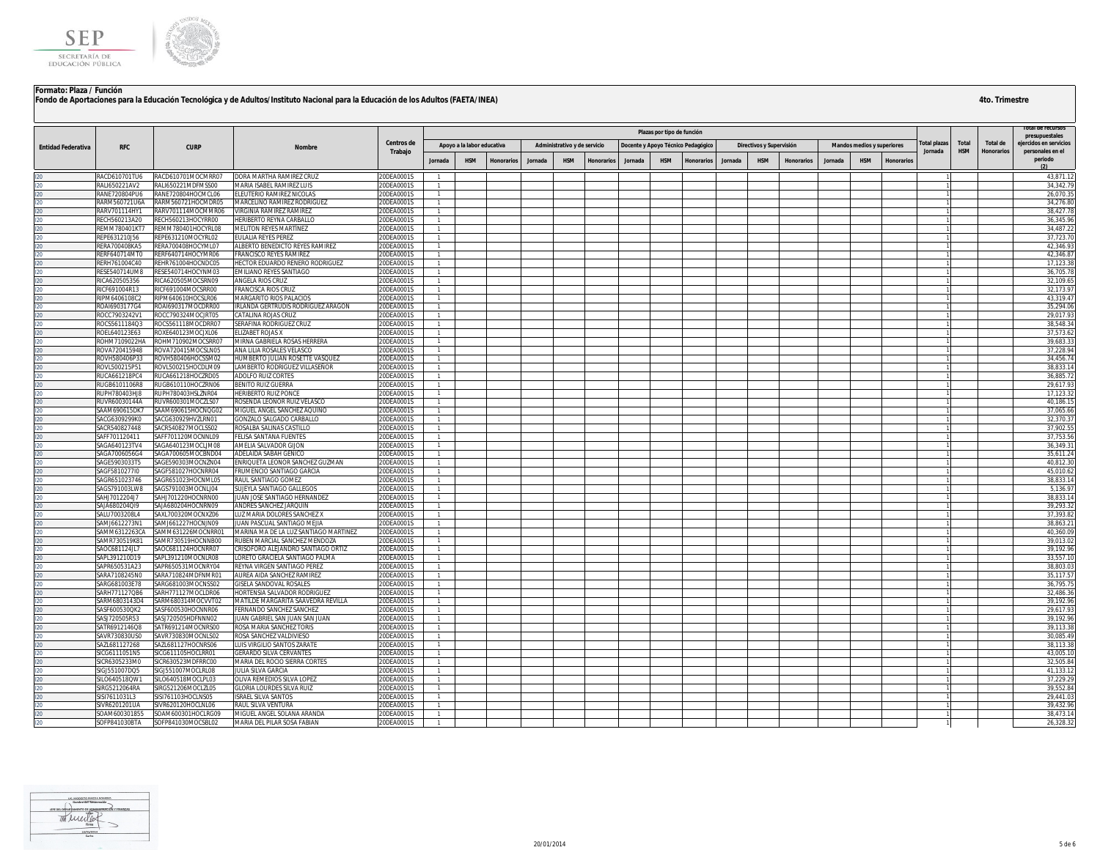



|                           |                                       |                                          |                                                                     |                         |                                  |                            |                   |         |                              |                   |                                    |                            |                   |         |                          |                   |         |                            |            |             |            |                   | rotal de recursos      |
|---------------------------|---------------------------------------|------------------------------------------|---------------------------------------------------------------------|-------------------------|----------------------------------|----------------------------|-------------------|---------|------------------------------|-------------------|------------------------------------|----------------------------|-------------------|---------|--------------------------|-------------------|---------|----------------------------|------------|-------------|------------|-------------------|------------------------|
|                           |                                       |                                          |                                                                     |                         |                                  |                            |                   |         |                              |                   |                                    | Plazas por tipo de función |                   |         |                          |                   |         |                            |            |             |            |                   | presupuestales         |
|                           |                                       |                                          |                                                                     | Centros de              |                                  | Apoyo a la labor educativa |                   |         | Administrativo y de servicio |                   | Docente y Apoyo Técnico Pedagógico |                            |                   |         | Directivos y Supervisión |                   |         | Mandos medios y superiores |            | otal plazas | Total      | Total de          | eiercidos en servicios |
| <b>Entidad Federativa</b> | <b>RFC</b>                            | <b>CURP</b>                              | Nombre                                                              | Trabajo                 |                                  |                            |                   |         |                              |                   |                                    |                            |                   |         |                          |                   |         |                            |            | Jornada     | <b>HSM</b> | <b>Honorarios</b> | personales en el       |
|                           |                                       |                                          |                                                                     |                         | Jornada                          | <b>HSM</b>                 | <b>Honorarios</b> | Jornada | <b>HSM</b>                   | <b>Honorarios</b> | Jornada                            | <b>HSM</b>                 | <b>Honorarios</b> | Jornada | <b>HSM</b>               | <b>Honorarios</b> | Jornada | <b>HSM</b>                 | Honorarios |             |            |                   | periodo<br>(2)         |
|                           | RACD610701TU6                         | RACD610701MOCMRR07                       | DORA MARTHA RAMIREZ CRUZ                                            | 20DEA0001S              |                                  |                            |                   |         |                              |                   |                                    |                            |                   |         |                          |                   |         |                            |            |             |            |                   | 43,871.12              |
|                           | RALI650221AV2                         | RALI650221MDFMSS00                       | MARIA ISABEL RAMIREZ LUIS                                           | ODEA0001S               | $\mathbf{1}$                     |                            |                   |         |                              |                   |                                    |                            |                   |         |                          |                   |         |                            |            |             |            |                   | 34,342.7               |
|                           | RANE720804PU6                         | RANE720804HOCMCL06                       | ELEUTERIO RAMIREZ NICOLAS                                           | 20DEA0001S              | $\overline{1}$                   |                            |                   |         |                              |                   |                                    |                            |                   |         |                          |                   |         |                            |            |             |            |                   | 26,070.35              |
|                           | RARM560721U6A                         | RARM560721HOCMDR05                       | MARCELINO RAMIREZ RODRIGUEZ                                         | 0DEA0001S               | $\overline{1}$                   |                            |                   |         |                              |                   |                                    |                            |                   |         |                          |                   |         |                            |            |             |            |                   | 34,276.80              |
|                           | RARV701114HY1                         | RARV701114MOCMMR06                       | <b>/IRGINIA RAMIREZ RAMIREZ</b>                                     | ODEA0001S               | $\overline{1}$                   |                            |                   |         |                              |                   |                                    |                            |                   |         |                          |                   |         |                            |            |             |            |                   | 38,427.78              |
|                           | RECH560213A20                         | RECH560213HOCYRR00                       | HERIBERTO REYNA CARBALLO                                            | 20DEA0001S              | $\overline{1}$                   |                            |                   |         |                              |                   |                                    |                            |                   |         |                          |                   |         |                            |            |             |            |                   | 36,345.96              |
|                           | REMM780401KT7                         | REMM780401HOCYRL08                       | MELITON REYES MARTÍNEZ                                              | 20DEA0001S              | $\overline{1}$                   |                            |                   |         |                              |                   |                                    |                            |                   |         |                          |                   |         |                            |            |             |            |                   | 34,487.22              |
|                           | REPE631210J56                         | REPE631210MOCYRL02                       | ULALIA REYES PEREZ                                                  | 20DEA0001S              | $\overline{1}$                   |                            |                   |         |                              |                   |                                    |                            |                   |         |                          |                   |         |                            |            |             |            |                   | 37,723.70              |
|                           | RERA700408KA5                         | RERA700408HOCYML07                       | ALBERTO BENEDICTO REYES RAMIREZ                                     | <b>!ODEA0001S</b>       | $\overline{1}$                   |                            |                   |         |                              |                   |                                    |                            |                   |         |                          |                   |         |                            |            |             |            |                   | 42.346.9               |
|                           | RERF640714MT0                         | RERF640714HOCYMR06                       | <b>FRANCISCO REYES RAMIREZ</b>                                      | 20DEA0001S              | $\overline{1}$                   |                            |                   |         |                              |                   |                                    |                            |                   |         |                          |                   |         |                            |            |             |            |                   | 42,346.87              |
|                           | RERH761004C40                         | REHR761004HOCNDC05                       | HECTOR EDUARDO RENERO RODRIGUEZ                                     | 20DEA0001S              |                                  |                            |                   |         |                              |                   |                                    |                            |                   |         |                          |                   |         |                            |            |             |            |                   | 17,123.38              |
|                           | <b>RESE540714UM8</b><br>RICA620505356 | RESE540714HOCYNM03<br>RICA620505MOCSRN09 | EMILIANO REYES SANTIAGO<br><b>ANGELA RIOS CRUZ</b>                  | 0DEA0001S<br>ODEA0001S  | $\overline{1}$                   |                            |                   |         |                              |                   |                                    |                            |                   |         |                          |                   |         |                            |            |             |            |                   | 36,705.7<br>32.109.65  |
|                           | RICF691004R13                         | RICF691004MOCSRR00                       | FRANCISCA RIOS CRUZ                                                 | 20DEA0001S              | $\overline{1}$<br>$\overline{1}$ |                            |                   |         |                              |                   |                                    |                            |                   |         |                          |                   |         |                            |            |             |            |                   | 32.173.97              |
|                           | RIPM6406108C2                         | RIPM640610HOCSLR06                       | <b>MARGARITO RIOS PALACIOS</b>                                      | 20DEA0001S              | $\overline{1}$                   |                            |                   |         |                              |                   |                                    |                            |                   |         |                          |                   |         |                            |            |             |            |                   | 43,319.4               |
|                           | ROAI6903177G4                         | ROAI690317MOCDRR00                       | RLANDA GERTRUDIS RODRIGUEZ ARAGON                                   | 20DEA0001S              | $\overline{1}$                   |                            |                   |         |                              |                   |                                    |                            |                   |         |                          |                   |         |                            |            |             |            |                   | 35,294.06              |
|                           | ROCC7903242V1                         | ROCC790324MOCJRT05                       | CATALINA ROJAS CRUZ                                                 | ODEA0001S               | $\overline{1}$                   |                            |                   |         |                              |                   |                                    |                            |                   |         |                          |                   |         |                            |            |             |            |                   | 29,017.93              |
|                           | ROCS5611184Q3                         | ROCS561118MOCDRR07                       | SERAFINA RODRIGUEZ CRUZ                                             | 20DEA0001S              | $\overline{1}$                   |                            |                   |         |                              |                   |                                    |                            |                   |         |                          |                   |         |                            |            |             |            |                   | 38,548.34              |
|                           | ROEL640123E63                         | ROXE640123MOCJXL06                       | LIZABET ROJAS X                                                     | <b>!ODEA0001S</b>       |                                  |                            |                   |         |                              |                   |                                    |                            |                   |         |                          |                   |         |                            |            |             |            |                   | 37,573.6               |
|                           | ROHM7109022HA                         | ROHM710902MOCSRR07                       | AIRNA GABRIELA ROSAS HERRERA                                        | ODEA0001S               | $\overline{1}$                   |                            |                   |         |                              |                   |                                    |                            |                   |         |                          |                   |         |                            |            |             |            |                   | 39.683.33              |
|                           | ROVA720415948                         | ROVA720415MOCSLN05                       | ANA LILIA ROSALES VELASCO                                           | ODEA0001S               | $\overline{1}$                   |                            |                   |         |                              |                   |                                    |                            |                   |         |                          |                   |         |                            |            |             |            |                   | 37,228.94              |
|                           | ROVH580406P33                         | ROVH580406HOCSSM02                       | HUMBERTO JULIAN ROSETTE VASQUEZ                                     | 20DEA0001S              | $\overline{1}$                   |                            |                   |         |                              |                   |                                    |                            |                   |         |                          |                   |         |                            |            |             |            |                   | 34,456.74              |
|                           | ROVL500215P51                         | ROVL500215HOCDLM09                       | LAMBERTO RODRIGUEZ VILLASEÑOR                                       | 20DEA0001S              | $\overline{1}$                   |                            |                   |         |                              |                   |                                    |                            |                   |         |                          |                   |         |                            |            |             |            |                   | 38,833.14              |
|                           | RUCA661218PC4                         | RUCA661218HOCZRD05                       | <b>ADOLFO RUIZ CORTES</b>                                           | 20DEA0001S              | $\overline{1}$                   |                            |                   |         |                              |                   |                                    |                            |                   |         |                          |                   |         |                            |            |             |            |                   | 36,885.7               |
|                           | RUGB6101106R8                         | RUGB610110HOCZRN06                       | BENITO RUIZ GUERRA                                                  | 20DEA0001S              | $\overline{1}$                   |                            |                   |         |                              |                   |                                    |                            |                   |         |                          |                   |         |                            |            |             |            |                   | 29,617.93              |
|                           | RUPH780403HJ8                         | RUPH780403HSLZNR04                       | <b>HERIBERTO RUIZ PONCE</b>                                         | 20DEA0001S              | $\overline{1}$                   |                            |                   |         |                              |                   |                                    |                            |                   |         |                          |                   |         |                            |            |             |            |                   | 17,123.32              |
|                           | RUVR60030144A                         | RUVR600301MOCZLS07                       | OSENDA LEONOR RUIZ VELASCO                                          | 0DEA0001S               | $\overline{1}$                   |                            |                   |         |                              |                   |                                    |                            |                   |         |                          |                   |         |                            |            |             |            |                   | 40.186.15              |
|                           | SAAM690615DK7<br>SACG6309299K0        | SAAM690615HOCNQG02<br>SACG630929HVZLRN01 | MIGUEL ANGEL SANCHEZ AQUINO<br>GONZALO SALGADO CARBALLO             | ODEA0001S<br>20DEA0001S | $\overline{1}$                   |                            |                   |         |                              |                   |                                    |                            |                   |         |                          |                   |         |                            |            |             |            |                   | 37.065.66<br>32,370.37 |
|                           | SACR540827448                         | SACR540827MOCLSS02                       | ROSALBA SALINAS CASTILLO                                            | 20DEA0001S              | $\overline{1}$<br>$\overline{1}$ |                            |                   |         |                              |                   |                                    |                            |                   |         |                          |                   |         |                            |            |             |            |                   | 37,902.55              |
|                           | SAFF701120411                         | SAFF701120MOCNNL09                       | FELISA SANTANA FUENTES                                              | 20DEA0001S              | $\overline{1}$                   |                            |                   |         |                              |                   |                                    |                            |                   |         |                          |                   |         |                            |            |             |            |                   | 37,753.56              |
|                           | SAGA640123TV4                         | SAGA640123MOCLJM08                       | AMELIA SALVADOR GIJON                                               | ODEA0001S               | $\mathbf{1}$                     |                            |                   |         |                              |                   |                                    |                            |                   |         |                          |                   |         |                            |            |             |            |                   | 36,349.3               |
|                           | SAGA7006056G4                         | SAGA700605MOCBND04                       | ADELAIDA SABAH GENICO                                               | 20DEA0001S              | $\overline{1}$                   |                            |                   |         |                              |                   |                                    |                            |                   |         |                          |                   |         |                            |            |             |            |                   | 35,611.24              |
|                           | SAGE5903033T5                         | SAGE590303MOCNZN04                       | INRIQUETA LEONOR SANCHEZ GUZMAN                                     | 20DEA0001S              | $\overline{1}$                   |                            |                   |         |                              |                   |                                    |                            |                   |         |                          |                   |         |                            |            |             |            |                   | 40,812.30              |
|                           | SAGF5810277I0                         | SAGF581027HOCNRR04                       | RUMENCIO SANTIAGO GARCIA                                            | 0DEA0001S               | $\mathbf{1}$                     |                            |                   |         |                              |                   |                                    |                            |                   |         |                          |                   |         |                            |            |             |            |                   | 45,010.62              |
|                           | SAGR651023746                         | SAGR651023HOCNML05                       | RAUL SANTIAGO GOMEZ                                                 | ODEA0001S               | $\overline{1}$                   |                            |                   |         |                              |                   |                                    |                            |                   |         |                          |                   |         |                            |            |             |            |                   | 38,833.14              |
|                           | SAGS791003LW8                         | SAGS791003MOCNLJ04                       | SUJEYLA SANTIAGO GALLEGOS                                           | 20DEA0001S              | $\overline{1}$                   |                            |                   |         |                              |                   |                                    |                            |                   |         |                          |                   |         |                            |            |             |            |                   | 5,136.97               |
|                           | SAHJ7012204J7                         | SAHJ701220HOCNRN00                       | JUAN JOSE SANTIAGO HERNANDEZ                                        | 20DEA0001S              | $\overline{1}$                   |                            |                   |         |                              |                   |                                    |                            |                   |         |                          |                   |         |                            |            |             |            |                   | 38,833.14              |
|                           | SAJA680204QI9                         | SAJA680204HOCNRN09                       | ANDRES SANCHEZ JARQUIN                                              | 20DEA0001S              | $\overline{1}$                   |                            |                   |         |                              |                   |                                    |                            |                   |         |                          |                   |         |                            |            |             |            |                   | 39,293.3               |
|                           | SALU7003208L4                         | SAXL700320MOCNXZ06                       | LUZ MARIA DOLORES SANCHEZ X                                         | 20DEA0001S              | $\overline{1}$                   |                            |                   |         |                              |                   |                                    |                            |                   |         |                          |                   |         |                            |            |             |            |                   | 37.393.8               |
|                           | SAMJ6612273N1                         | SAMJ661227HOCNJN09                       | JUAN PASCUAL SANTIAGO MEJIA                                         | 20DEA0001S              | $\overline{1}$                   |                            |                   |         |                              |                   |                                    |                            |                   |         |                          |                   |         |                            |            |             |            |                   | 38,863.2               |
|                           | SAMM6312263CA                         | SAMM631226MOCNRR01                       | MARINA MA DE LA LUZ SANTIAGO MARTINEZ                               | 20DEA0001S              |                                  |                            |                   |         |                              |                   |                                    |                            |                   |         |                          |                   |         |                            |            |             |            |                   | 40.360.09              |
|                           | SAMR730519K81<br>SAOC681124JL7        | SAMR730519HOCNNB00<br>SAOC681124HOCNRR07 | RUBEN MARCIAL SANCHEZ MENDOZA<br>CRISOFORO ALEJANDRO SANTIAGO ORTIZ | ODEA0001S<br>20DEA0001S | $\overline{1}$                   |                            |                   |         |                              |                   |                                    |                            |                   |         |                          |                   |         |                            |            |             |            |                   | 39.013.02<br>39.192.96 |
|                           | SAPL391210D19                         | SAPL391210MOCNLR08                       | LORETO GRACIELA SANTIAGO PALMA                                      | 20DEA0001S              | $\overline{1}$<br>$\overline{1}$ |                            |                   |         |                              |                   |                                    |                            |                   |         |                          |                   |         |                            |            |             |            |                   | 33,557.10              |
|                           | SAPR650531A23                         | SAPR650531MOCNRY04                       | REYNA VIRGEN SANTIAGO PEREZ                                         | 20DEA0001S              | $\overline{1}$                   |                            |                   |         |                              |                   |                                    |                            |                   |         |                          |                   |         |                            |            |             |            |                   | 38,803.0               |
|                           | SARA7108245N0                         | SARA710824MDFNMR01                       | AUREA AIDA SANCHEZ RAMIREZ                                          | 0DEA0001S               | $\mathbf{1}$                     |                            |                   |         |                              |                   |                                    |                            |                   |         |                          |                   |         |                            |            |             |            |                   | 35.117.5               |
|                           | SARG681003E78                         | SARG681003MOCNSS02                       | GISELA SANDOVAL ROSALES                                             | 20DEA0001S              | $\overline{1}$                   |                            |                   |         |                              |                   |                                    |                            |                   |         |                          |                   |         |                            |            |             |            |                   | 36,795.75              |
|                           | SARH771127QB6                         | SARH771127MOCLDR06                       | HORTENSIA SALVADOR RODRIGUEZ                                        | 20DEA0001S              | $\overline{1}$                   |                            |                   |         |                              |                   |                                    |                            |                   |         |                          |                   |         |                            |            |             |            |                   | 32,486.36              |
|                           | SARM6803143D4                         | SARM680314MOCVVT02                       | <b>MATILDE MARGARITA SAAVEDRA REVILLA</b>                           | <b>ODEA0001S</b>        | $\overline{1}$                   |                            |                   |         |                              |                   |                                    |                            |                   |         |                          |                   |         |                            |            |             |            |                   | 39,192.96              |
|                           | SASF600530QK2                         | SASF600530HOCNNR06                       | <b>ERNANDO SANCHEZ SANCHEZ</b>                                      | ODEA0001S               | $\overline{1}$                   |                            |                   |         |                              |                   |                                    |                            |                   |         |                          |                   |         |                            |            |             |            |                   | 29,617.93              |
|                           | SASJ720505R53                         | SASJ720505HDFNNN02                       | UAN GABRIEL SAN JUAN SAN JUAN                                       | 20DEA0001S              | $\overline{1}$                   |                            |                   |         |                              |                   |                                    |                            |                   |         |                          |                   |         |                            |            |             |            |                   | 39,192.96              |
|                           | SATR6912146Q8                         | SATR691214MOCNRS00                       | ROSA MARIA SANCHEZ TORIS                                            | 20DEA0001S              | $\overline{1}$                   |                            |                   |         |                              |                   |                                    |                            |                   |         |                          |                   |         |                            |            |             |            |                   | 39,113.38              |
|                           | SAVR730830US0                         | SAVR730830MOCNLS02                       | ROSA SANCHEZ VALDIVIESO                                             | 20DEA0001S              | $\overline{1}$                   |                            |                   |         |                              |                   |                                    |                            |                   |         |                          |                   |         |                            |            |             |            |                   | 30,085.49              |
|                           | SAZL681127268                         | SAZL681127HOCNRS06                       | LUIS VIRGILIO SANTOS ZARATE                                         | <b>ODEA0001S</b>        | $\overline{1}$                   |                            |                   |         |                              |                   |                                    |                            |                   |         |                          |                   |         |                            |            |             |            |                   | 38.113.38              |
|                           | SICG6111051N5                         | SICG611105HOCLRR01                       | GERARDO SILVA CERVANTES                                             | 20DEA0001S              | $\overline{1}$                   |                            |                   |         |                              |                   |                                    |                            |                   |         |                          |                   |         |                            |            |             |            |                   | 43.005.10              |
|                           | SICR6305233M0                         | SICR630523MDFRRC00                       | MARIA DEL ROCIO SIERRA CORTES                                       | 20DEA0001S              | $\overline{1}$                   |                            |                   |         |                              |                   |                                    |                            |                   |         |                          |                   |         |                            |            |             |            |                   | 32.505.84              |
|                           | IGJ551007DQ5                          | IGJ551007MOCLRL08                        | ULIA SILVA GARCIA                                                   | 0DFA0001S               | $\mathbf{1}$                     |                            |                   |         |                              |                   |                                    |                            |                   |         |                          |                   |         |                            |            |             |            |                   | 41.133.12              |
|                           | ILO640518QW1                          | SILO640518MOCLPL03                       | OLIVA REMEDIOS SILVA LOPEZ                                          | 0DFA0001S<br>20DEA0001S | $\overline{1}$<br>$\overline{1}$ |                            |                   |         |                              |                   |                                    |                            |                   |         |                          |                   |         |                            |            |             |            |                   | 37,229.29<br>39,552.84 |
|                           | SIRG5212064RA<br>SISI7611031L3        | SIRG521206MOCLZL05<br>SISI761103HOCLNS05 | GLORIA LOURDES SILVA RUIZ<br><b>ISRAEL SILVA SANTOS</b>             | ODEA0001S               | $\overline{1}$                   |                            |                   |         |                              |                   |                                    |                            |                   |         |                          |                   |         |                            |            |             |            |                   | 29,441.03              |
|                           | SIVR6201201UA                         | SIVR620120HOCLNL06                       | RAUL SILVA VENTURA                                                  | 0DEA0001S               | $\mathbf{1}$                     |                            |                   |         |                              |                   |                                    |                            |                   |         |                          |                   |         |                            |            |             |            |                   | 39.432.96              |
|                           | SOAM600301855                         | SOAM600301HOCLRG09                       | MIGUEL ANGEL SOLANA ARANDA                                          | <b>ODEA0001S</b>        | $\overline{1}$                   |                            |                   |         |                              |                   |                                    |                            |                   |         |                          |                   |         |                            |            |             |            |                   | 38,473.14              |
|                           | SOFP841030BTA                         | SOFP841030MOCSBL02                       | MARIA DEL PILAR SOSA FABIAN                                         | 20DEA0001S              |                                  |                            |                   |         |                              |                   |                                    |                            |                   |         |                          |                   |         |                            |            |             |            |                   | 26,328.32              |

Monstown  $^{(01/2)}$